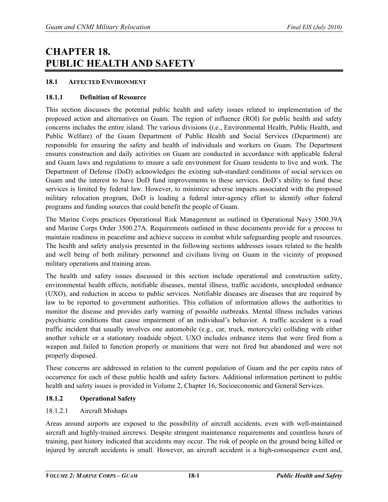# **CHAPTER 18. PUBLIC HEALTH AND SAFETY**

### **18.1 AFFECTED ENVIRONMENT**

# **18.1.1 Definition of Resource**

This section discusses the potential public health and safety issues related to implementation of the proposed action and alternatives on Guam. The region of influence (ROI) for public health and safety concerns includes the entire island. The various divisions (i.e., Environmental Health, Public Health, and Public Welfare) of the Guam Department of Public Health and Social Services (Department) are responsible for ensuring the safety and health of individuals and workers on Guam. The Department ensures construction and daily activities on Guam are conducted in accordance with applicable federal and Guam laws and regulations to ensure a safe environment for Guam residents to live and work. The Department of Defense (DoD) acknowledges the existing sub-standard conditions of social services on Guam and the interest to have DoD fund improvements to these services. DoD's ability to fund these services is limited by federal law. However, to minimize adverse impacts associated with the proposed military relocation program, DoD is leading a federal inter-agency effort to identify other federal programs and funding sources that could benefit the people of Guam.

The Marine Corps practices Operational Risk Management as outlined in Operational Navy 3500.39A and Marine Corps Order 3500.27A. Requirements outlined in these documents provide for a process to maintain readiness in peacetime and achieve success in combat while safeguarding people and resources. The health and safety analysis presented in the following sections addresses issues related to the health and well being of both military personnel and civilians living on Guam in the vicinity of proposed military operations and training areas.

The health and safety issues discussed in this section include operational and construction safety, environmental health effects, notifiable diseases, mental illness, traffic accidents, unexploded ordnance (UXO), and reduction in access to public services. Notifiable diseases are diseases that are required by law to be reported to government authorities. This collation of information allows the authorities to monitor the disease and provides early warning of possible outbreaks. Mental illness includes various psychiatric conditions that cause impairment of an individual's behavior. A traffic accident is a road traffic incident that usually involves one automobile (e.g., car, truck, motorcycle) colliding with either another vehicle or a stationary roadside object. UXO includes ordnance items that were fired from a weapon and failed to function properly or munitions that were not fired but abandoned and were not properly disposed.

These concerns are addressed in relation to the current population of Guam and the per capita rates of occurrence for each of these public health and safety factors. Additional information pertinent to public health and safety issues is provided in Volume 2, Chapter 16, Socioeconomic and General Services.

# **18.1.2 Operational Safety**

# 18.1.2.1 Aircraft Mishaps

Areas around airports are exposed to the possibility of aircraft accidents, even with well-maintained aircraft and highly-trained aircrews. Despite stringent maintenance requirements and countless hours of training, past history indicated that accidents may occur. The risk of people on the ground being killed or injured by aircraft accidents is small. However, an aircraft accident is a high-consequence event and,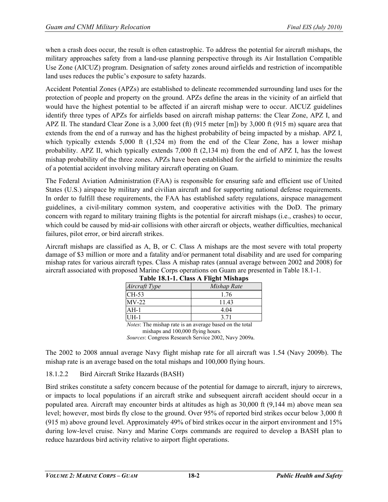when a crash does occur, the result is often catastrophic. To address the potential for aircraft mishaps, the military approaches safety from a land-use planning perspective through its Air Installation Compatible Use Zone (AICUZ) program. Designation of safety zones around airfields and restriction of incompatible land uses reduces the public's exposure to safety hazards.

Accident Potential Zones (APZs) are established to delineate recommended surrounding land uses for the protection of people and property on the ground. APZs define the areas in the vicinity of an airfield that would have the highest potential to be affected if an aircraft mishap were to occur. AICUZ guidelines identify three types of APZs for airfields based on aircraft mishap patterns: the Clear Zone, APZ I, and APZ II. The standard Clear Zone is a 3,000 feet (ft) (915 meter [m]) by 3,000 ft (915 m) square area that extends from the end of a runway and has the highest probability of being impacted by a mishap. APZ I, which typically extends  $5,000$  ft  $(1,524 \text{ m})$  from the end of the Clear Zone, has a lower mishap probability. APZ II, which typically extends 7,000 ft (2,134 m) from the end of APZ I, has the lowest mishap probability of the three zones. APZs have been established for the airfield to minimize the results of a potential accident involving military aircraft operating on Guam.

The Federal Aviation Administration (FAA) is responsible for ensuring safe and efficient use of United States (U.S.) airspace by military and civilian aircraft and for supporting national defense requirements. In order to fulfill these requirements, the FAA has established safety regulations, airspace management guidelines, a civil-military common system, and cooperative activities with the DoD. The primary concern with regard to military training flights is the potential for aircraft mishaps (i.e., crashes) to occur, which could be caused by mid-air collisions with other aircraft or objects, weather difficulties, mechanical failures, pilot error, or bird aircraft strikes.

Aircraft mishaps are classified as A, B, or C. Class A mishaps are the most severe with total property damage of \$3 million or more and a fatality and/or permanent total disability and are used for comparing mishap rates for various aircraft types. Class A mishap rates (annual average between 2002 and 2008) for aircraft associated with proposed Marine Corps operations on Guam are presented in Table 18.1-1.

|               | Table To.1-1. Class A Flight Mishaps |
|---------------|--------------------------------------|
| Aircraft Type | Mishap Rate                          |
| CH-53         | 1.76                                 |
| $MV-22$       | 11 43                                |
| $AH-1$        | 4 04                                 |
| $I$ JH-1      | 3.71                                 |

| Table 18.1-1. Class A Flight Mishaps |  |  |
|--------------------------------------|--|--|
|                                      |  |  |

*Notes*: The mishap rate is an average based on the total mishaps and 100,000 flying hours*. Sources*: Congress Research Service 2002, Navy 2009a.

The 2002 to 2008 annual average Navy flight mishap rate for all aircraft was 1.54 (Navy 2009b). The mishap rate is an average based on the total mishaps and 100,000 flying hours.

# 18.1.2.2 Bird Aircraft Strike Hazards (BASH)

Bird strikes constitute a safety concern because of the potential for damage to aircraft, injury to aircrews, or impacts to local populations if an aircraft strike and subsequent aircraft accident should occur in a populated area. Aircraft may encounter birds at altitudes as high as 30,000 ft (9,144 m) above mean sea level; however, most birds fly close to the ground. Over 95% of reported bird strikes occur below 3,000 ft (915 m) above ground level. Approximately 49% of bird strikes occur in the airport environment and 15% during low-level cruise. Navy and Marine Corps commands are required to develop a BASH plan to reduce hazardous bird activity relative to airport flight operations.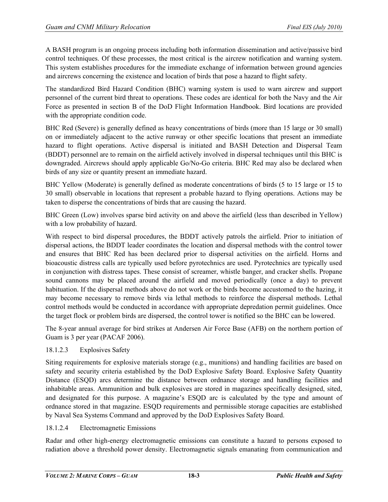A BASH program is an ongoing process including both information dissemination and active/passive bird control techniques. Of these processes, the most critical is the aircrew notification and warning system. This system establishes procedures for the immediate exchange of information between ground agencies and aircrews concerning the existence and location of birds that pose a hazard to flight safety.

The standardized Bird Hazard Condition (BHC) warning system is used to warn aircrew and support personnel of the current bird threat to operations. These codes are identical for both the Navy and the Air Force as presented in section B of the DoD Flight Information Handbook. Bird locations are provided with the appropriate condition code.

BHC Red (Severe) is generally defined as heavy concentrations of birds (more than 15 large or 30 small) on or immediately adjacent to the active runway or other specific locations that present an immediate hazard to flight operations. Active dispersal is initiated and BASH Detection and Dispersal Team (BDDT) personnel are to remain on the airfield actively involved in dispersal techniques until this BHC is downgraded. Aircrews should apply applicable Go/No-Go criteria. BHC Red may also be declared when birds of any size or quantity present an immediate hazard.

BHC Yellow (Moderate) is generally defined as moderate concentrations of birds (5 to 15 large or 15 to 30 small) observable in locations that represent a probable hazard to flying operations. Actions may be taken to disperse the concentrations of birds that are causing the hazard.

BHC Green (Low) involves sparse bird activity on and above the airfield (less than described in Yellow) with a low probability of hazard.

With respect to bird dispersal procedures, the BDDT actively patrols the airfield. Prior to initiation of dispersal actions, the BDDT leader coordinates the location and dispersal methods with the control tower and ensures that BHC Red has been declared prior to dispersal activities on the airfield. Horns and bioacoustic distress calls are typically used before pyrotechnics are used. Pyrotechnics are typically used in conjunction with distress tapes. These consist of screamer, whistle banger, and cracker shells. Propane sound cannons may be placed around the airfield and moved periodically (once a day) to prevent habituation. If the dispersal methods above do not work or the birds become accustomed to the hazing, it may become necessary to remove birds via lethal methods to reinforce the dispersal methods. Lethal control methods would be conducted in accordance with appropriate depredation permit guidelines. Once the target flock or problem birds are dispersed, the control tower is notified so the BHC can be lowered.

The 8-year annual average for bird strikes at Andersen Air Force Base (AFB) on the northern portion of Guam is 3 per year (PACAF 2006).

# 18.1.2.3 Explosives Safety

Siting requirements for explosive materials storage (e.g., munitions) and handling facilities are based on safety and security criteria established by the DoD Explosive Safety Board. Explosive Safety Quantity Distance (ESQD) arcs determine the distance between ordnance storage and handling facilities and inhabitable areas. Ammunition and bulk explosives are stored in magazines specifically designed, sited, and designated for this purpose. A magazine's ESQD arc is calculated by the type and amount of ordnance stored in that magazine. ESQD requirements and permissible storage capacities are established by Naval Sea Systems Command and approved by the DoD Explosives Safety Board.

# 18.1.2.4 Electromagnetic Emissions

Radar and other high-energy electromagnetic emissions can constitute a hazard to persons exposed to radiation above a threshold power density. Electromagnetic signals emanating from communication and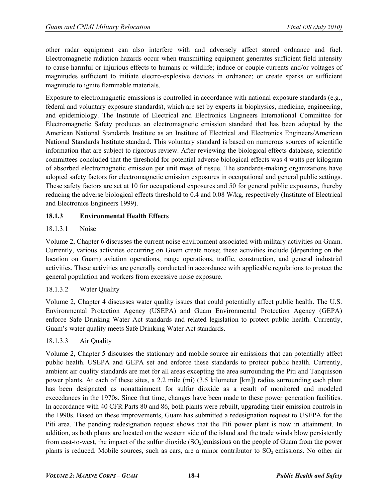other radar equipment can also interfere with and adversely affect stored ordnance and fuel. Electromagnetic radiation hazards occur when transmitting equipment generates sufficient field intensity to cause harmful or injurious effects to humans or wildlife; induce or couple currents and/or voltages of magnitudes sufficient to initiate electro-explosive devices in ordnance; or create sparks or sufficient magnitude to ignite flammable materials.

Exposure to electromagnetic emissions is controlled in accordance with national exposure standards (e.g., federal and voluntary exposure standards), which are set by experts in biophysics, medicine, engineering, and epidemiology. The Institute of Electrical and Electronics Engineers International Committee for Electromagnetic Safety produces an electromagnetic emission standard that has been adopted by the American National Standards Institute as an Institute of Electrical and Electronics Engineers/American National Standards Institute standard. This voluntary standard is based on numerous sources of scientific information that are subject to rigorous review. After reviewing the biological effects database, scientific committees concluded that the threshold for potential adverse biological effects was 4 watts per kilogram of absorbed electromagnetic emission per unit mass of tissue. The standards-making organizations have adopted safety factors for electromagnetic emission exposures in occupational and general public settings. These safety factors are set at 10 for occupational exposures and 50 for general public exposures, thereby reducing the adverse biological effects threshold to 0.4 and 0.08 W/kg, respectively (Institute of Electrical and Electronics Engineers 1999).

# **18.1.3 Environmental Health Effects**

# 18.1.3.1 Noise

Volume 2, Chapter 6 discusses the current noise environment associated with military activities on Guam. Currently, various activities occurring on Guam create noise; these activities include (depending on the location on Guam) aviation operations, range operations, traffic, construction, and general industrial activities. These activities are generally conducted in accordance with applicable regulations to protect the general population and workers from excessive noise exposure.

# 18.1.3.2 Water Quality

Volume 2, Chapter 4 discusses water quality issues that could potentially affect public health. The U.S. Environmental Protection Agency (USEPA) and Guam Environmental Protection Agency (GEPA) enforce Safe Drinking Water Act standards and related legislation to protect public health. Currently, Guam's water quality meets Safe Drinking Water Act standards.

# 18.1.3.3 Air Quality

Volume 2, Chapter 5 discusses the stationary and mobile source air emissions that can potentially affect public health. USEPA and GEPA set and enforce these standards to protect public health. Currently, ambient air quality standards are met for all areas excepting the area surrounding the Piti and Tanquisson power plants. At each of these sites, a 2.2 mile (mi) (3.5 kilometer [km]) radius surrounding each plant has been designated as nonattainment for sulfur dioxide as a result of monitored and modeled exceedances in the 1970s. Since that time, changes have been made to these power generation facilities. In accordance with 40 CFR Parts 80 and 86, both plants were rebuilt, upgrading their emission controls in the 1990s. Based on these improvements, Guam has submitted a redesignation request to USEPA for the Piti area. The pending redesignation request shows that the Piti power plant is now in attainment. In addition, as both plants are located on the western side of the island and the trade winds blow persistently from east-to-west, the impact of the sulfur dioxide  $(SO<sub>2</sub>)$ emissions on the people of Guam from the power plants is reduced. Mobile sources, such as cars, are a minor contributor to  $SO_2$  emissions. No other air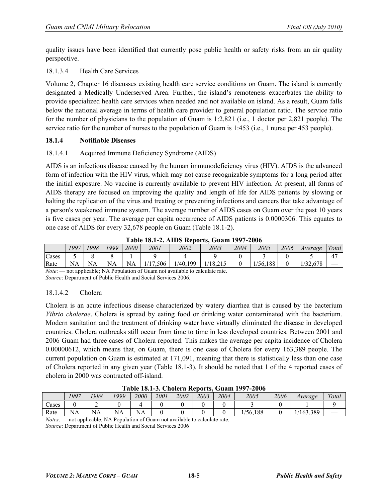quality issues have been identified that currently pose public health or safety risks from an air quality perspective.

# 18.1.3.4 Health Care Services

Volume 2, Chapter 16 discusses existing health care service conditions on Guam. The island is currently designated a Medically Underserved Area. Further, the island's remoteness exacerbates the ability to provide specialized health care services when needed and not available on island. As a result, Guam falls below the national average in terms of health care provider to general population ratio. The service ratio for the number of physicians to the population of Guam is 1:2,821 (i.e., 1 doctor per 2,821 people). The service ratio for the number of nurses to the population of Guam is 1:453 (i.e., 1 nurse per 453 people).

# **18.1.4 Notifiable Diseases**

# 18.1.4.1 Acquired Immune Deficiency Syndrome (AIDS)

AIDS is an infectious disease caused by the human immunodeficiency virus (HIV). AIDS is the advanced form of infection with the HIV virus, which may not cause recognizable symptoms for a long period after the initial exposure. No vaccine is currently available to prevent HIV infection. At present, all forms of AIDS therapy are focused on improving the quality and length of life for AIDS patients by slowing or halting the replication of the virus and treating or preventing infections and cancers that take advantage of a person's weakened immune system. The average number of AIDS cases on Guam over the past 10 years is five cases per year. The average per capita occurrence of AIDS patients is 0.0000306. This equates to one case of AIDS for every 32,678 people on Guam (Table 18.1-2).

|               |      |                           |            | .    |                    |            |         |      | .              |      |         |                        |
|---------------|------|---------------------------|------------|------|--------------------|------------|---------|------|----------------|------|---------|------------------------|
|               | 1997 | 1998                      | 1999       | 2000 | 2001               | 2002       | 2003    | 2004 | 2005           | 2006 | Average | l'otal<br>$\mathbf{u}$ |
| Cases         |      |                           |            |      |                    |            |         |      |                |      |         | $\Lambda$              |
| Rate          | NA   | NA                        | NA         | NA   | 506<br>$1 -$<br>л. | /40<br>199 | 1/18.21 |      | /56,188<br>/56 |      | 32.678  |                        |
| $\sim$ $\sim$ |      | $\sim$<br>$\cdot$ $\cdot$ | . <b>.</b> |      | $\sim$ $\sim$      | $\cdots$   |         |      |                |      |         |                        |

**Table 18.1-2. AIDS Reports, Guam 1997-2006**

*Note*: — not applicable; NA Population of Guam not available to calculate rate. *Source*: Department of Public Health and Social Services 2006.

# 18.1.4.2 Cholera

Cholera is an acute infectious disease characterized by watery diarrhea that is caused by the bacterium *Vibrio cholerae*. Cholera is spread by eating food or drinking water contaminated with the bacterium. Modern sanitation and the treatment of drinking water have virtually eliminated the disease in developed countries. Cholera outbreaks still occur from time to time in less developed countries. Between 2001 and 2006 Guam had three cases of Cholera reported. This makes the average per capita incidence of Cholera 0.00000612, which means that, on Guam, there is one case of Cholera for every 163,389 people. The current population on Guam is estimated at 171,091, meaning that there is statistically less than one case of Cholera reported in any given year (Table 18.1-3). It should be noted that 1 of the 4 reported cases of cholera in 2000 was contracted off-island.

|       | Table To.1-9. Choice a Reports, Qualit 1777-2000 |      |      |       |      |      |      |      |          |      |          |       |  |
|-------|--------------------------------------------------|------|------|-------|------|------|------|------|----------|------|----------|-------|--|
|       | 1997                                             | 1998 | 1999 | 2000  | 2001 | 2002 | 2003 | 2004 | 2005     | 2006 | Average  | Total |  |
| Cases |                                                  |      |      |       |      |      |      |      |          |      |          |       |  |
| Rate  | NA                                               | NΑ   | NA   | NA    |      |      |      |      | 1/56.188 |      | /163.389 |       |  |
| ____  |                                                  | .    |      | $  -$ |      | .    |      |      |          |      |          |       |  |

**Table 18.1-3. Cholera Reports, Guam 1997-2006**

*Notes*: — not applicable; NA Population of Guam not available to calculate rate. *Source*: Department of Public Health and Social Services 2006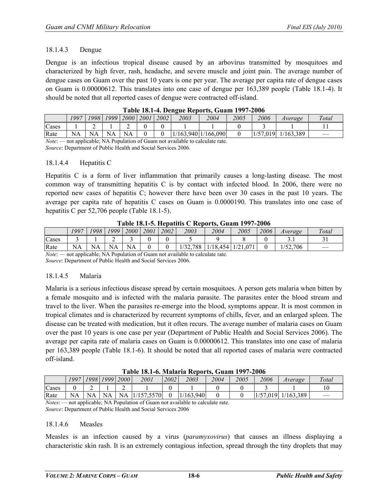### 18.1.4.3 Dengue

Dengue is an infectious tropical disease caused by an arbovirus transmitted by mosquitoes and characterized by high fever, rash, headache, and severe muscle and joint pain. The average number of dengue cases on Guam over the past 10 years is one per year. The average per capita rate of dengue cases on Guam is 0.00000612. This translates into one case of dengue per 163,389 people (Table 18.1-4). It should be noted that all reported cases of dengue were contracted off-island.

|       | THEN TON REVOLUTION ORGANIZED TO THE |    |             |             |      |      |      |                    |      |          |           |       |  |  |
|-------|--------------------------------------|----|-------------|-------------|------|------|------|--------------------|------|----------|-----------|-------|--|--|
|       | 1997                                 |    | 1998   1999 | <b>2000</b> | 2001 | 2002 | 2003 | 2004               | 2005 | 2006     | Average   | Total |  |  |
| Cases |                                      | ∸  |             |             |      |      |      |                    |      |          |           |       |  |  |
| Rate  | NA                                   | NA | NA          | NA          |      |      |      | /163,940 1/166,090 |      | 1/57,019 | 1/163,389 |       |  |  |
|       |                                      |    |             |             |      |      |      |                    |      |          |           |       |  |  |

*Note*: — not applicable; NA Population of Guam not available to calculate rate. *Source*: Department of Public Health and Social Services 2006.

#### 18.1.4.4 Hepatitis C

Hepatitis C is a form of liver inflammation that primarily causes a long-lasting disease. The most common way of transmitting hepatitis C is by contact with infected blood. In 2006, there were no reported new cases of hepatitis C; however there have been over 30 cases in the past 10 years. The average per capita rate of hepatitis C cases on Guam is 0.0000190. This translates into one case of hepatitis C per 52,706 people (Table 18.1-5).

|                                     | $1$ apic 10.1-9. Hepathus $C$ Keppi is, Qualit 177 (-2000) |      |           |             |      |      |         |          |               |      |          |       |  |  |  |
|-------------------------------------|------------------------------------------------------------|------|-----------|-------------|------|------|---------|----------|---------------|------|----------|-------|--|--|--|
|                                     | 1997                                                       | 1998 | 1999      | <i>2000</i> | 2001 | 2002 | 2003    | 2004     | 2005          | 2006 | Average  | Total |  |  |  |
| Cases                               |                                                            |      |           |             |      |      |         |          |               |      |          |       |  |  |  |
| Rate                                | NA                                                         | NA   | <b>NA</b> | NA          |      |      | '32,788 | 1/18,454 | 0.071<br>1/21 |      | 1/52.706 |       |  |  |  |
| the contract of the contract of the |                                                            | .    |           | .           | ___  |      | .       |          |               |      |          |       |  |  |  |

**Table 18.1-5. Hepatitis C Reports, Guam 1997-2006**

*Note*: — not applicable; NA Population of Guam not available to calculate rate.

*Source*: Department of Public Health and Social Services 2006.

# 18.1.4.5 Malaria

Malaria is a serious infectious disease spread by certain mosquitoes. A person gets malaria when bitten by a female mosquito and is infected with the malaria parasite. The parasites enter the blood stream and travel to the liver. When the parasites re-emerge into the blood, symptoms appear. It is most common in tropical climates and is characterized by recurrent symptoms of chills, fever, and an enlarged spleen. The disease can be treated with medication, but it often recurs. The average number of malaria cases on Guam over the past 10 years is one case per year (Department of Public Health and Social Services 2006). The average per capita rate of malaria cases on Guam is 0.00000612. This translates into one case of malaria per 163,389 people (Table 18.1-6). It should be noted that all reported cases of malaria were contracted off-island.

**Table 18.1-6. Malaria Reports, Guam 1997-2006**

|       | 1 apro 1911 91 Britannia Reports, Guam 1777 2000 |           |           |                |            |      |                      |      |      |      |                        |       |  |  |  |
|-------|--------------------------------------------------|-----------|-----------|----------------|------------|------|----------------------|------|------|------|------------------------|-------|--|--|--|
|       | 1997                                             |           |           | 1998 1999 2000 | 2001       | 2002 | 2003                 | 2004 | 2005 | 2006 | Average                | Total |  |  |  |
| Cases |                                                  |           |           |                |            |      |                      |      |      |      |                        |       |  |  |  |
| Rate  | NA                                               | <b>NA</b> | <b>NA</b> | NA             | 1/157,5570 |      | (163.940)<br>$\perp$ |      |      |      | $1/57,019$ $1/163,389$ |       |  |  |  |

*Notes*: — not applicable; NA Population of Guam not available to calculate rate. *Source*: Department of Public Health and Social Services 2006

#### 18.1.4.6 Measles

Measles is an infection caused by a virus (*paramyxovirus*) that causes an illness displaying a characteristic skin rash. It is an extremely contagious infection, spread through the tiny droplets that may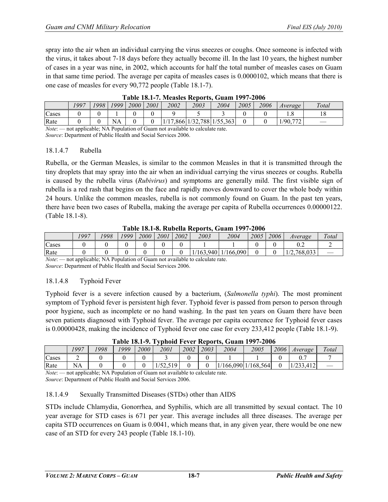spray into the air when an individual carrying the virus sneezes or coughs. Once someone is infected with the virus, it takes about 7-18 days before they actually become ill. In the last 10 years, the highest number of cases in a year was nine, in 2002, which accounts for half the total number of measles cases on Guam in that same time period. The average per capita of measles cases is 0.0000102, which means that there is one case of measles for every 90,772 people (Table 18.1-7).

|              | 1997 | 1998 | 1999 | 2000 | 2001 | 2002 | 2003 | 2004                       | 2005 | 2006 | Average     | Total |  |  |  |
|--------------|------|------|------|------|------|------|------|----------------------------|------|------|-------------|-------|--|--|--|
| Cases        |      |      |      |      |      |      |      |                            |      |      |             |       |  |  |  |
| Rate         |      |      | NA   |      |      |      |      | 1/17,866 1/32,788 1/55,363 |      |      | 777<br>/90. |       |  |  |  |
| $\mathbf{r}$ |      |      |      |      |      |      |      |                            |      |      |             |       |  |  |  |

**Table 18.1-7. Measles Reports, Guam 1997-2006**

*Note*: — not applicable; NA Population of Guam not available to calculate rate.

*Source*: Department of Public Health and Social Services 2006.

# 18.1.4.7 Rubella

Rubella, or the German Measles, is similar to the common Measles in that it is transmitted through the tiny droplets that may spray into the air when an individual carrying the virus sneezes or coughs. Rubella is caused by the rubella virus (*Rubivirus*) and symptoms are generally mild. The first visible sign of rubella is a red rash that begins on the face and rapidly moves downward to cover the whole body within 24 hours. Unlike the common measles, rubella is not commonly found on Guam. In the past ten years, there have been two cases of Rubella, making the average per capita of Rubella occurrences 0.00000122. (Table 18.1-8).

|       |      |      |      |      |      |      |      | l adie 10.1-0. Kudelia Kepul is, Gualii 1 <i>771-2</i> 000 |      |      |            |       |
|-------|------|------|------|------|------|------|------|------------------------------------------------------------|------|------|------------|-------|
|       | 1997 | '998 | '999 | 2000 | 2001 | 2002 | 2003 | 2004                                                       | 2005 | 2006 | Average    | Total |
| Cases |      |      |      |      |      |      |      |                                                            |      |      |            |       |
| Rate  |      |      |      |      |      |      |      | 1/163,940   1/166,090                                      |      |      | /2.768.033 |       |

**Table 18.1-8. Rubella Reports, Guam 1997-2006**

*Note*: — not applicable; NA Population of Guam not available to calculate rate. *Source*: Department of Public Health and Social Services 2006.

# 18.1.4.8 Typhoid Fever

Typhoid fever is a severe infection caused by a bacterium, (*Salmonella typhi*). The most prominent symptom of Typhoid fever is persistent high fever. Typhoid fever is passed from person to person through poor hygiene, such as incomplete or no hand washing. In the past ten years on Guam there have been seven patients diagnosed with Typhoid fever. The average per capita occurrence for Typhoid fever cases is 0.00000428, making the incidence of Typhoid fever one case for every 233,412 people (Table 18.1-9).

|                                 | Table To.1 ). Typhold I ever incoords, Gual 1777 2000 |       |       |             |          |      |      |      |                     |      |         |       |  |
|---------------------------------|-------------------------------------------------------|-------|-------|-------------|----------|------|------|------|---------------------|------|---------|-------|--|
|                                 | 1997                                                  | '998' | 1999. | <i>2000</i> | 2001     | 2002 | 2003 | 2004 | 2005                | 2006 | Average | Total |  |
| Cases                           | ∸                                                     |       |       |             |          |      |      |      |                     |      |         |       |  |
| Rate                            | <b>NA</b>                                             |       |       |             | 1/52,519 |      |      |      | (166,090 1/168,564) |      |         |       |  |
| the property of the property of |                                                       | .     |       | __          |          | .    |      |      |                     |      |         |       |  |

**Table 18.1-9. Typhoid Fever Reports, Guam 1997-2006**

*Note*: — not applicable; NA Population of Guam not available to calculate rate. *Source*: Department of Public Health and Social Services 2006.

# 18.1.4.9 Sexually Transmitted Diseases (STDs) other than AIDS

STDs include Chlamydia, Gonorrhea, and Syphilis, which are all transmitted by sexual contact. The 10 year average for STD cases is 671 per year. This average includes all three diseases. The average per capita STD occurrences on Guam is 0.0041, which means that, in any given year, there would be one new case of an STD for every 243 people (Table 18.1-10).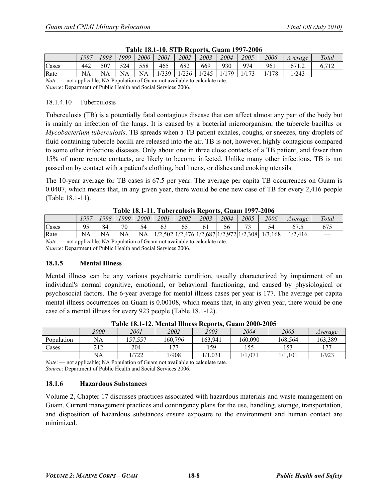|                                                                                        | 1997                                                                        | 1998 | '999 | 2000 | 2001 | 2002 | 2003 | 2004 | 2005 | 2006 | Average | Total |  |
|----------------------------------------------------------------------------------------|-----------------------------------------------------------------------------|------|------|------|------|------|------|------|------|------|---------|-------|--|
| Cases                                                                                  | 442                                                                         | 507  | 524  | 558  | 465  | 682  | 669  | 930  | 974  | 961  | 671.2   | 6.712 |  |
| 1/339<br>NA<br>1/179<br>1/236<br>1172<br>NA<br>NA<br>/245<br>178<br>Rate<br>NA<br>/243 |                                                                             |      |      |      |      |      |      |      |      |      |         |       |  |
|                                                                                        | $Note$ on applicable: NA Population of Guam not available to calculate rate |      |      |      |      |      |      |      |      |      |         |       |  |

| Table 18.1-10. STD Reports, Guam 1997-2006 |  |  |  |  |
|--------------------------------------------|--|--|--|--|
|                                            |  |  |  |  |

not applicable; NA Population of Guam not available to calculate rate.

*Source*: Department of Public Health and Social Services 2006.

#### 18.1.4.10 Tuberculosis

Tuberculosis (TB) is a potentially fatal contagious disease that can affect almost any part of the body but is mainly an infection of the lungs. It is caused by a bacterial microorganism, the tubercle bacillus or *Mycobacterium tuberculosis*. TB spreads when a TB patient exhales, coughs, or sneezes, tiny droplets of fluid containing tubercle bacilli are released into the air. TB is not, however, highly contagious compared to some other infectious diseases. Only about one in three close contacts of a TB patient, and fewer than 15% of more remote contacts, are likely to become infected. Unlike many other infections, TB is not passed on by contact with a patient's clothing, bed linens, or dishes and cooking utensils.

The 10-year average for TB cases is 67.5 per year. The average per capita TB occurrences on Guam is 0.0407, which means that, in any given year, there would be one new case of TB for every 2,416 people (Table 18.1-11).

| Table Ton TI, Tubel culons Reports, Gualli 1777 Food |                                                                         |      |           |      |      |      |      |      |        |                                                             |         |       |
|------------------------------------------------------|-------------------------------------------------------------------------|------|-----------|------|------|------|------|------|--------|-------------------------------------------------------------|---------|-------|
|                                                      | 997                                                                     | 1998 | 1999      | 2000 | 2001 | 2002 | 2003 | 2004 | 2005   | 2006                                                        | Average | Total |
| Cases                                                | 95                                                                      | 84   | 70        | 54   |      |      |      | 56   | $\sim$ |                                                             |         |       |
| Rate                                                 | NA                                                                      | NA   | <b>NA</b> | NA   |      |      |      |      |        | $1/2,502$ $1/2,476$ $1/2,687$ $1/2,972$ $1/2,308$ $1/3,168$ | 1/2.416 |       |
| $\lambda T - 4 - 6$                                  | and confined to MA Demotetian of Corner and control to be related and a |      |           |      |      |      |      |      |        |                                                             |         |       |

*Note*: — not applicable; NA Population of Guam not available to calculate rate.

*Source*: Department of Public Health and Social Services 2006.

# **18.1.5 Mental Illness**

Mental illness can be any various psychiatric condition, usually characterized by impairment of an individual's normal cognitive, emotional, or behavioral functioning, and caused by physiological or psychosocial factors. The 6-year average for mental illness cases per year is 177. The average per capita mental illness occurrences on Guam is 0.00108, which means that, in any given year, there would be one case of a mental illness for every 923 people (Table 18.1-12).

|            | 2000                 | 2001       | 2002   | 2003    | 2004       | 2005         | Average        |
|------------|----------------------|------------|--------|---------|------------|--------------|----------------|
| Population | NA                   | 157,557    | 60,796 | 163,941 | 160,090    | 168,564      | 163,389        |
| Cases      | $\mathbf{11}$<br>414 | 204        | $-1$   | 159     | E E<br>ن ر | 15つ<br>1 J J | $\overline{ }$ |
|            | <b>NA</b>            | 1722<br>∠∠ | /908   | .031    | .071       | 1.101        | 1/923          |

**Table 18.1-12. Mental Illness Reports, Guam 2000-2005**

*Note*: — not applicable; NA Population of Guam not available to calculate rate. *Source*: Department of Public Health and Social Services 2006.

# **18.1.6 Hazardous Substances**

Volume 2, Chapter 17 discusses practices associated with hazardous materials and waste management on Guam. Current management practices and contingency plans for the use, handling, storage, transportation, and disposition of hazardous substances ensure exposure to the environment and human contact are minimized.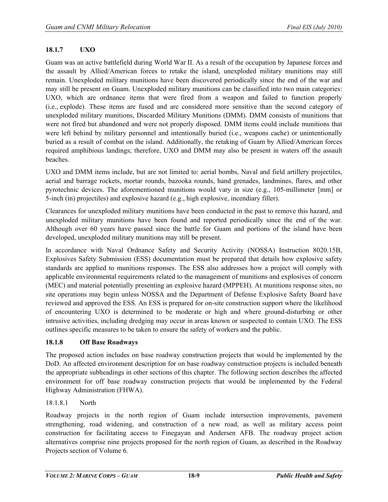# **18.1.7 UXO**

Guam was an active battlefield during World War II. As a result of the occupation by Japanese forces and the assault by Allied/American forces to retake the island, unexploded military munitions may still remain. Unexploded military munitions have been discovered periodically since the end of the war and may still be present on Guam. Unexploded military munitions can be classified into two main categories: UXO, which are ordnance items that were fired from a weapon and failed to function properly (i.e., explode). These items are fused and are considered more sensitive than the second category of unexploded military munitions, Discarded Military Munitions (DMM). DMM consists of munitions that were not fired but abandoned and were not properly disposed. DMM items could include munitions that were left behind by military personnel and intentionally buried (i.e., weapons cache) or unintentionally buried as a result of combat on the island. Additionally, the retaking of Guam by Allied/American forces required amphibious landings; therefore, UXO and DMM may also be present in waters off the assault beaches.

UXO and DMM items include, but are not limited to: aerial bombs, Naval and field artillery projectiles, aerial and barrage rockets, mortar rounds, bazooka rounds, hand grenades, landmines, flares, and other pyrotechnic devices. The aforementioned munitions would vary in size (e.g., 105-millimeter [mm] or 5-inch (in) projectiles) and explosive hazard (e.g., high explosive, incendiary filler).

Clearances for unexploded military munitions have been conducted in the past to remove this hazard, and unexploded military munitions have been found and reported periodically since the end of the war. Although over 60 years have passed since the battle for Guam and portions of the island have been developed, unexploded military munitions may still be present.

In accordance with Naval Ordnance Safety and Security Activity (NOSSA) Instruction 8020.15B, Explosives Safety Submission (ESS) documentation must be prepared that details how explosive safety standards are applied to munitions responses. The ESS also addresses how a project will comply with applicable environmental requirements related to the management of munitions and explosives of concern (MEC) and material potentially presenting an explosive hazard (MPPEH). At munitions response sites, no site operations may begin unless NOSSA and the Department of Defense Explosive Safety Board have reviewed and approved the ESS. An ESS is prepared for on-site construction support where the likelihood of encountering UXO is determined to be moderate or high and where ground-disturbing or other intrusive activities, including dredging may occur in areas known or suspected to contain UXO. The ESS outlines specific measures to be taken to ensure the safety of workers and the public.

### **18.1.8 Off Base Roadways**

The proposed action includes on base roadway construction projects that would be implemented by the DoD. An affected environment description for on base roadway construction projects is included beneath the appropriate subheadings in other sections of this chapter. The following section describes the affected environment for off base roadway construction projects that would be implemented by the Federal Highway Administration (FHWA).

# 18.1.8.1 North

Roadway projects in the north region of Guam include intersection improvements, pavement strengthening, road widening, and construction of a new road, as well as military access point construction for facilitating access to Finegayan and Andersen AFB. The roadway project action alternatives comprise nine projects proposed for the north region of Guam, as described in the Roadway Projects section of Volume 6.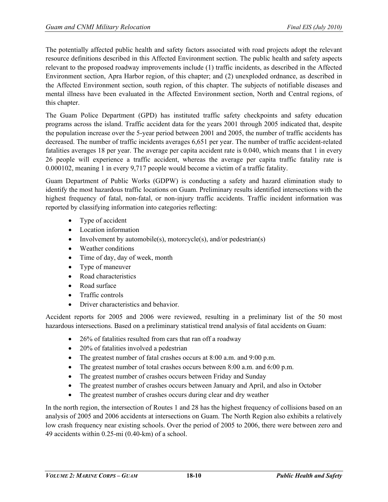The potentially affected public health and safety factors associated with road projects adopt the relevant resource definitions described in this Affected Environment section. The public health and safety aspects relevant to the proposed roadway improvements include (1) traffic incidents, as described in the Affected Environment section, Apra Harbor region, of this chapter; and (2) unexploded ordnance, as described in the Affected Environment section, south region, of this chapter. The subjects of notifiable diseases and mental illness have been evaluated in the Affected Environment section, North and Central regions, of this chapter.

The Guam Police Department (GPD) has instituted traffic safety checkpoints and safety education programs across the island. Traffic accident data for the years 2001 through 2005 indicated that, despite the population increase over the 5-year period between 2001 and 2005, the number of traffic accidents has decreased. The number of traffic incidents averages 6,651 per year. The number of traffic accident-related fatalities averages 18 per year. The average per capita accident rate is 0.040, which means that 1 in every 26 people will experience a traffic accident, whereas the average per capita traffic fatality rate is 0.000102, meaning 1 in every 9,717 people would become a victim of a traffic fatality.

Guam Department of Public Works (GDPW) is conducting a safety and hazard elimination study to identify the most hazardous traffic locations on Guam. Preliminary results identified intersections with the highest frequency of fatal, non-fatal, or non-injury traffic accidents. Traffic incident information was reported by classifying information into categories reflecting:

- Type of accident
- Location information
- Involvement by automobile(s), motorcycle(s), and/or pedestrian(s)
- Weather conditions
- Time of day, day of week, month
- Type of maneuver
- Road characteristics
- Road surface
- Traffic controls
- Driver characteristics and behavior.

Accident reports for 2005 and 2006 were reviewed, resulting in a preliminary list of the 50 most hazardous intersections. Based on a preliminary statistical trend analysis of fatal accidents on Guam:

- 26% of fatalities resulted from cars that ran off a roadway
- 20% of fatalities involved a pedestrian
- The greatest number of fatal crashes occurs at 8:00 a.m. and 9:00 p.m.
- The greatest number of total crashes occurs between 8:00 a.m. and 6:00 p.m.
- The greatest number of crashes occurs between Friday and Sunday
- The greatest number of crashes occurs between January and April, and also in October
- The greatest number of crashes occurs during clear and dry weather

In the north region, the intersection of Routes 1 and 28 has the highest frequency of collisions based on an analysis of 2005 and 2006 accidents at intersections on Guam. The North Region also exhibits a relatively low crash frequency near existing schools. Over the period of 2005 to 2006, there were between zero and 49 accidents within 0.25-mi (0.40-km) of a school.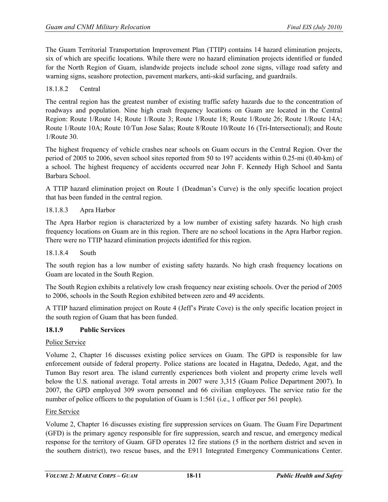The Guam Territorial Transportation Improvement Plan (TTIP) contains 14 hazard elimination projects, six of which are specific locations. While there were no hazard elimination projects identified or funded for the North Region of Guam, islandwide projects include school zone signs, village road safety and warning signs, seashore protection, pavement markers, anti-skid surfacing, and guardrails.

### 18.1.8.2 Central

The central region has the greatest number of existing traffic safety hazards due to the concentration of roadways and population. Nine high crash frequency locations on Guam are located in the Central Region: Route 1/Route 14; Route 1/Route 3; Route 1/Route 18; Route 1/Route 26; Route 1/Route 14A; Route 1/Route 10A; Route 10/Tun Jose Salas; Route 8/Route 10/Route 16 (Tri-Intersectional); and Route 1/Route 30.

The highest frequency of vehicle crashes near schools on Guam occurs in the Central Region. Over the period of 2005 to 2006, seven school sites reported from 50 to 197 accidents within 0.25-mi (0.40-km) of a school. The highest frequency of accidents occurred near John F. Kennedy High School and Santa Barbara School.

A TTIP hazard elimination project on Route 1 (Deadman's Curve) is the only specific location project that has been funded in the central region.

### 18.1.8.3 Apra Harbor

The Apra Harbor region is characterized by a low number of existing safety hazards. No high crash frequency locations on Guam are in this region. There are no school locations in the Apra Harbor region. There were no TTIP hazard elimination projects identified for this region.

#### 18.1.8.4 South

The south region has a low number of existing safety hazards. No high crash frequency locations on Guam are located in the South Region.

The South Region exhibits a relatively low crash frequency near existing schools. Over the period of 2005 to 2006, schools in the South Region exhibited between zero and 49 accidents.

A TTIP hazard elimination project on Route 4 (Jeff's Pirate Cove) is the only specific location project in the south region of Guam that has been funded.

#### **18.1.9 Public Services**

# Police Service

Volume 2, Chapter 16 discusses existing police services on Guam. The GPD is responsible for law enforcement outside of federal property. Police stations are located in Hagatna, Dededo, Agat, and the Tumon Bay resort area. The island currently experiences both violent and property crime levels well below the U.S. national average. Total arrests in 2007 were 3,315 (Guam Police Department 2007). In 2007, the GPD employed 309 sworn personnel and 66 civilian employees. The service ratio for the number of police officers to the population of Guam is 1:561 (i.e., 1 officer per 561 people).

#### Fire Service

Volume 2, Chapter 16 discusses existing fire suppression services on Guam. The Guam Fire Department (GFD) is the primary agency responsible for fire suppression, search and rescue, and emergency medical response for the territory of Guam. GFD operates 12 fire stations (5 in the northern district and seven in the southern district), two rescue bases, and the E911 Integrated Emergency Communications Center.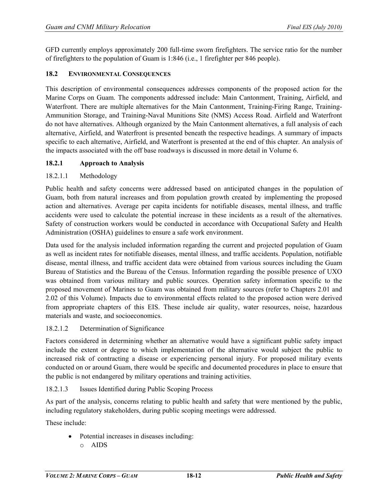GFD currently employs approximately 200 full-time sworn firefighters. The service ratio for the number of firefighters to the population of Guam is 1:846 (i.e., 1 firefighter per 846 people).

# **18.2 ENVIRONMENTAL CONSEQUENCES**

This description of environmental consequences addresses components of the proposed action for the Marine Corps on Guam. The components addressed include: Main Cantonment, Training, Airfield, and Waterfront. There are multiple alternatives for the Main Cantonment, Training-Firing Range, Training-Ammunition Storage, and Training-Naval Munitions Site (NMS) Access Road. Airfield and Waterfront do not have alternatives. Although organized by the Main Cantonment alternatives, a full analysis of each alternative, Airfield, and Waterfront is presented beneath the respective headings. A summary of impacts specific to each alternative, Airfield, and Waterfront is presented at the end of this chapter. An analysis of the impacts associated with the off base roadways is discussed in more detail in Volume 6.

# **18.2.1 Approach to Analysis**

# 18.2.1.1 Methodology

Public health and safety concerns were addressed based on anticipated changes in the population of Guam, both from natural increases and from population growth created by implementing the proposed action and alternatives. Average per capita incidents for notifiable diseases, mental illness, and traffic accidents were used to calculate the potential increase in these incidents as a result of the alternatives. Safety of construction workers would be conducted in accordance with Occupational Safety and Health Administration (OSHA) guidelines to ensure a safe work environment.

Data used for the analysis included information regarding the current and projected population of Guam as well as incident rates for notifiable diseases, mental illness, and traffic accidents. Population, notifiable disease, mental illness, and traffic accident data were obtained from various sources including the Guam Bureau of Statistics and the Bureau of the Census. Information regarding the possible presence of UXO was obtained from various military and public sources. Operation safety information specific to the proposed movement of Marines to Guam was obtained from military sources (refer to Chapters 2.01 and 2.02 of this Volume). Impacts due to environmental effects related to the proposed action were derived from appropriate chapters of this EIS. These include air quality, water resources, noise, hazardous materials and waste, and socioeconomics.

# 18.2.1.2 Determination of Significance

Factors considered in determining whether an alternative would have a significant public safety impact include the extent or degree to which implementation of the alternative would subject the public to increased risk of contracting a disease or experiencing personal injury. For proposed military events conducted on or around Guam, there would be specific and documented procedures in place to ensure that the public is not endangered by military operations and training activities.

# 18.2.1.3 Issues Identified during Public Scoping Process

As part of the analysis, concerns relating to public health and safety that were mentioned by the public, including regulatory stakeholders, during public scoping meetings were addressed.

These include:

- Potential increases in diseases including:
	- o AIDS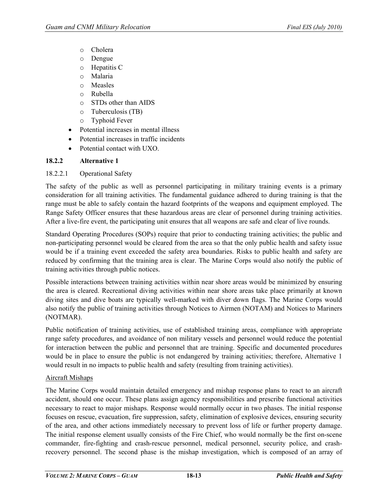- o Cholera
- o Dengue
- o Hepatitis C
- o Malaria
- o Measles
- o Rubella
- o STDs other than AIDS
- o Tuberculosis (TB)
- o Typhoid Fever
- Potential increases in mental illness
- Potential increases in traffic incidents
- Potential contact with UXO.

# **18.2.2 Alternative 1**

# 18.2.2.1 Operational Safety

The safety of the public as well as personnel participating in military training events is a primary consideration for all training activities. The fundamental guidance adhered to during training is that the range must be able to safely contain the hazard footprints of the weapons and equipment employed. The Range Safety Officer ensures that these hazardous areas are clear of personnel during training activities. After a live-fire event, the participating unit ensures that all weapons are safe and clear of live rounds.

Standard Operating Procedures (SOPs) require that prior to conducting training activities; the public and non-participating personnel would be cleared from the area so that the only public health and safety issue would be if a training event exceeded the safety area boundaries. Risks to public health and safety are reduced by confirming that the training area is clear. The Marine Corps would also notify the public of training activities through public notices.

Possible interactions between training activities within near shore areas would be minimized by ensuring the area is cleared. Recreational diving activities within near shore areas take place primarily at known diving sites and dive boats are typically well-marked with diver down flags. The Marine Corps would also notify the public of training activities through Notices to Airmen (NOTAM) and Notices to Mariners (NOTMAR).

Public notification of training activities, use of established training areas, compliance with appropriate range safety procedures, and avoidance of non military vessels and personnel would reduce the potential for interaction between the public and personnel that are training. Specific and documented procedures would be in place to ensure the public is not endangered by training activities; therefore, Alternative 1 would result in no impacts to public health and safety (resulting from training activities).

# Aircraft Mishaps

The Marine Corps would maintain detailed emergency and mishap response plans to react to an aircraft accident, should one occur. These plans assign agency responsibilities and prescribe functional activities necessary to react to major mishaps. Response would normally occur in two phases. The initial response focuses on rescue, evacuation, fire suppression, safety, elimination of explosive devices, ensuring security of the area, and other actions immediately necessary to prevent loss of life or further property damage. The initial response element usually consists of the Fire Chief, who would normally be the first on-scene commander, fire-fighting and crash-rescue personnel, medical personnel, security police, and crashrecovery personnel. The second phase is the mishap investigation, which is composed of an array of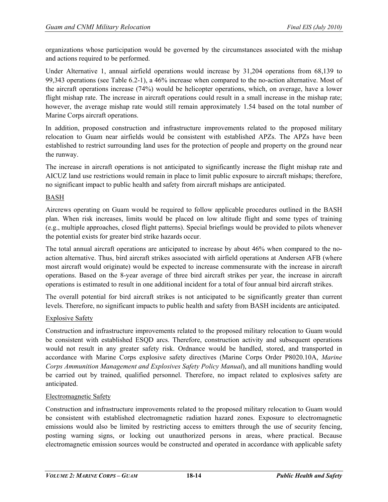organizations whose participation would be governed by the circumstances associated with the mishap and actions required to be performed.

Under Alternative 1, annual airfield operations would increase by 31,204 operations from 68,139 to 99,343 operations (see Table 6.2-1), a 46% increase when compared to the no-action alternative. Most of the aircraft operations increase (74%) would be helicopter operations, which, on average, have a lower flight mishap rate. The increase in aircraft operations could result in a small increase in the mishap rate; however, the average mishap rate would still remain approximately 1.54 based on the total number of Marine Corps aircraft operations.

In addition, proposed construction and infrastructure improvements related to the proposed military relocation to Guam near airfields would be consistent with established APZs. The APZs have been established to restrict surrounding land uses for the protection of people and property on the ground near the runway.

The increase in aircraft operations is not anticipated to significantly increase the flight mishap rate and AICUZ land use restrictions would remain in place to limit public exposure to aircraft mishaps; therefore, no significant impact to public health and safety from aircraft mishaps are anticipated.

# BASH

Aircrews operating on Guam would be required to follow applicable procedures outlined in the BASH plan. When risk increases, limits would be placed on low altitude flight and some types of training (e.g., multiple approaches, closed flight patterns). Special briefings would be provided to pilots whenever the potential exists for greater bird strike hazards occur.

The total annual aircraft operations are anticipated to increase by about 46% when compared to the noaction alternative. Thus, bird aircraft strikes associated with airfield operations at Andersen AFB (where most aircraft would originate) would be expected to increase commensurate with the increase in aircraft operations. Based on the 8-year average of three bird aircraft strikes per year, the increase in aircraft operations is estimated to result in one additional incident for a total of four annual bird aircraft strikes.

The overall potential for bird aircraft strikes is not anticipated to be significantly greater than current levels. Therefore, no significant impacts to public health and safety from BASH incidents are anticipated.

# Explosive Safety

Construction and infrastructure improvements related to the proposed military relocation to Guam would be consistent with established ESQD arcs. Therefore, construction activity and subsequent operations would not result in any greater safety risk. Ordnance would be handled, stored, and transported in accordance with Marine Corps explosive safety directives (Marine Corps Order P8020.10A, *Marine Corps Ammunition Management and Explosives Safety Policy Manual*), and all munitions handling would be carried out by trained, qualified personnel. Therefore, no impact related to explosives safety are anticipated.

# Electromagnetic Safety

Construction and infrastructure improvements related to the proposed military relocation to Guam would be consistent with established electromagnetic radiation hazard zones. Exposure to electromagnetic emissions would also be limited by restricting access to emitters through the use of security fencing, posting warning signs, or locking out unauthorized persons in areas, where practical. Because electromagnetic emission sources would be constructed and operated in accordance with applicable safety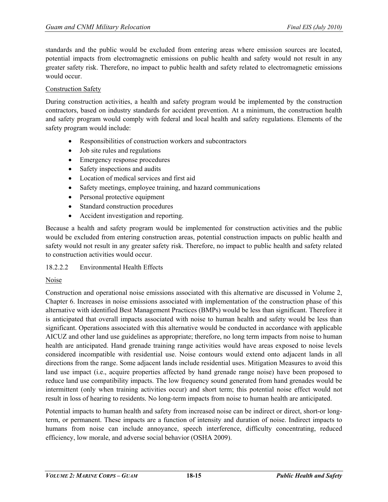standards and the public would be excluded from entering areas where emission sources are located, potential impacts from electromagnetic emissions on public health and safety would not result in any greater safety risk. Therefore, no impact to public health and safety related to electromagnetic emissions would occur.

### Construction Safety

During construction activities, a health and safety program would be implemented by the construction contractors, based on industry standards for accident prevention. At a minimum, the construction health and safety program would comply with federal and local health and safety regulations. Elements of the safety program would include:

- Responsibilities of construction workers and subcontractors
- Job site rules and regulations
- Emergency response procedures
- Safety inspections and audits
- Location of medical services and first aid
- Safety meetings, employee training, and hazard communications
- Personal protective equipment
- Standard construction procedures
- Accident investigation and reporting.

Because a health and safety program would be implemented for construction activities and the public would be excluded from entering construction areas, potential construction impacts on public health and safety would not result in any greater safety risk. Therefore, no impact to public health and safety related to construction activities would occur.

#### 18.2.2.2 Environmental Health Effects

#### Noise

Construction and operational noise emissions associated with this alternative are discussed in Volume 2, Chapter 6. Increases in noise emissions associated with implementation of the construction phase of this alternative with identified Best Management Practices (BMPs) would be less than significant. Therefore it is anticipated that overall impacts associated with noise to human health and safety would be less than significant. Operations associated with this alternative would be conducted in accordance with applicable AICUZ and other land use guidelines as appropriate; therefore, no long term impacts from noise to human health are anticipated. Hand grenade training range activities would have areas exposed to noise levels considered incompatible with residential use. Noise contours would extend onto adjacent lands in all directions from the range. Some adjacent lands include residential uses. Mitigation Measures to avoid this land use impact (i.e., acquire properties affected by hand grenade range noise) have been proposed to reduce land use compatibility impacts. The low frequency sound generated from hand grenades would be intermittent (only when training activities occur) and short term; this potential noise effect would not result in loss of hearing to residents. No long-term impacts from noise to human health are anticipated.

Potential impacts to human health and safety from increased noise can be indirect or direct, short-or longterm, or permanent. These impacts are a function of intensity and duration of noise. Indirect impacts to humans from noise can include annoyance, speech interference, difficulty concentrating, reduced efficiency, low morale, and adverse social behavior (OSHA 2009).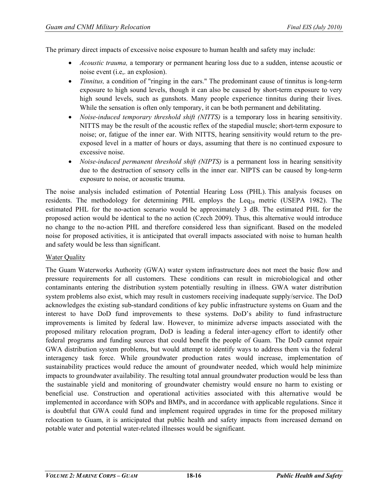The primary direct impacts of excessive noise exposure to human health and safety may include:

- *Acoustic trauma,* a temporary or permanent hearing loss due to a sudden, intense acoustic or noise event (i.e,. an explosion).
- *Tinnitus*, a condition of "ringing in the ears." The predominant cause of tinnitus is long-term exposure to high sound levels, though it can also be caused by short-term exposure to very high sound levels, such as gunshots. Many people experience tinnitus during their lives. While the sensation is often only temporary, it can be both permanent and debilitating.
- *Noise-induced temporary threshold shift (NITTS)* is a temporary loss in hearing sensitivity. NITTS may be the result of the acoustic reflex of the stapedial muscle; short-term exposure to noise; or, fatigue of the inner ear. With NITTS, hearing sensitivity would return to the preexposed level in a matter of hours or days, assuming that there is no continued exposure to excessive noise.
- *Noise-induced permanent threshold shift (NIPTS)* is a permanent loss in hearing sensitivity due to the destruction of sensory cells in the inner ear. NIPTS can be caused by long-term exposure to noise, or acoustic trauma.

The noise analysis included estimation of Potential Hearing Loss (PHL). This analysis focuses on residents. The methodology for determining PHL employs the  $\text{Leg}_{24}$  metric (USEPA 1982). The estimated PHL for the no-action scenario would be approximately 3 dB. The estimated PHL for the proposed action would be identical to the no action (Czech 2009). Thus, this alternative would introduce no change to the no-action PHL and therefore considered less than significant. Based on the modeled noise for proposed activities, it is anticipated that overall impacts associated with noise to human health and safety would be less than significant.

#### Water Quality

The Guam Waterworks Authority (GWA) water system infrastructure does not meet the basic flow and pressure requirements for all customers. These conditions can result in microbiological and other contaminants entering the distribution system potentially resulting in illness. GWA water distribution system problems also exist, which may result in customers receiving inadequate supply/service. The DoD acknowledges the existing sub-standard conditions of key public infrastructure systems on Guam and the interest to have DoD fund improvements to these systems. DoD's ability to fund infrastructure improvements is limited by federal law. However, to minimize adverse impacts associated with the proposed military relocation program, DoD is leading a federal inter-agency effort to identify other federal programs and funding sources that could benefit the people of Guam. The DoD cannot repair GWA distribution system problems, but would attempt to identify ways to address them via the federal interagency task force. While groundwater production rates would increase, implementation of sustainability practices would reduce the amount of groundwater needed, which would help minimize impacts to groundwater availability. The resulting total annual groundwater production would be less than the sustainable yield and monitoring of groundwater chemistry would ensure no harm to existing or beneficial use. Construction and operational activities associated with this alternative would be implemented in accordance with SOPs and BMPs, and in accordance with applicable regulations. Since it is doubtful that GWA could fund and implement required upgrades in time for the proposed military relocation to Guam, it is anticipated that public health and safety impacts from increased demand on potable water and potential water-related illnesses would be significant.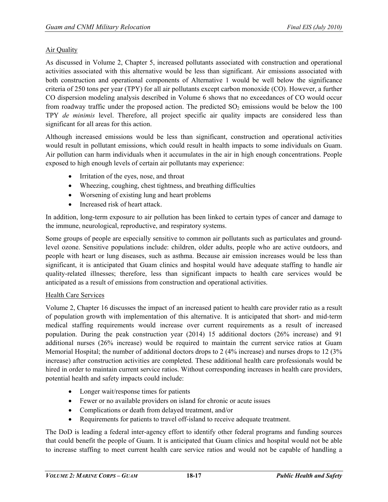# Air Quality

As discussed in Volume 2, Chapter 5, increased pollutants associated with construction and operational activities associated with this alternative would be less than significant. Air emissions associated with both construction and operational components of Alternative 1 would be well below the significance criteria of 250 tons per year (TPY) for all air pollutants except carbon monoxide (CO). However, a further CO dispersion modeling analysis described in Volume 6 shows that no exceedances of CO would occur from roadway traffic under the proposed action. The predicted  $SO<sub>2</sub>$  emissions would be below the 100 TPY *de minimis* level. Therefore, all project specific air quality impacts are considered less than significant for all areas for this action.

Although increased emissions would be less than significant, construction and operational activities would result in pollutant emissions, which could result in health impacts to some individuals on Guam. Air pollution can harm individuals when it accumulates in the air in high enough concentrations. People exposed to high enough levels of certain air pollutants may experience:

- Irritation of the eyes, nose, and throat
- Wheezing, coughing, chest tightness, and breathing difficulties
- Worsening of existing lung and heart problems
- Increased risk of heart attack.

In addition, long-term exposure to air pollution has been linked to certain types of cancer and damage to the immune, neurological, reproductive, and respiratory systems.

Some groups of people are especially sensitive to common air pollutants such as particulates and groundlevel ozone. Sensitive populations include: children, older adults, people who are active outdoors, and people with heart or lung diseases, such as asthma. Because air emission increases would be less than significant, it is anticipated that Guam clinics and hospital would have adequate staffing to handle air quality-related illnesses; therefore, less than significant impacts to health care services would be anticipated as a result of emissions from construction and operational activities.

# Health Care Services

Volume 2, Chapter 16 discusses the impact of an increased patient to health care provider ratio as a result of population growth with implementation of this alternative. It is anticipated that short- and mid-term medical staffing requirements would increase over current requirements as a result of increased population. During the peak construction year (2014) 15 additional doctors (26% increase) and 91 additional nurses (26% increase) would be required to maintain the current service ratios at Guam Memorial Hospital; the number of additional doctors drops to 2 (4% increase) and nurses drops to 12 (3% increase) after construction activities are completed. These additional health care professionals would be hired in order to maintain current service ratios. Without corresponding increases in health care providers, potential health and safety impacts could include:

- Longer wait/response times for patients
- Fewer or no available providers on island for chronic or acute issues
- Complications or death from delayed treatment, and/or
- Requirements for patients to travel off-island to receive adequate treatment.

The DoD is leading a federal inter-agency effort to identify other federal programs and funding sources that could benefit the people of Guam. It is anticipated that Guam clinics and hospital would not be able to increase staffing to meet current health care service ratios and would not be capable of handling a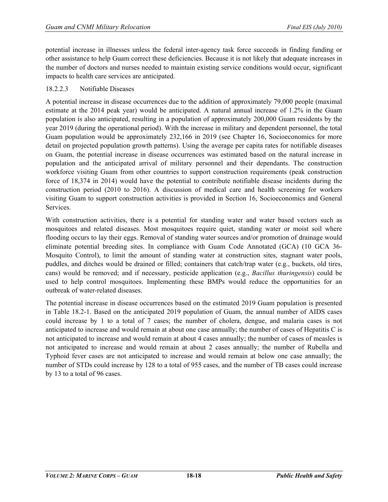potential increase in illnesses unless the federal inter-agency task force succeeds in finding funding or other assistance to help Guam correct these deficiencies. Because it is not likely that adequate increases in the number of doctors and nurses needed to maintain existing service conditions would occur, significant impacts to health care services are anticipated.

### 18.2.2.3 Notifiable Diseases

A potential increase in disease occurrences due to the addition of approximately 79,000 people (maximal estimate at the 2014 peak year) would be anticipated. A natural annual increase of 1.2% in the Guam population is also anticipated, resulting in a population of approximately 200,000 Guam residents by the year 2019 (during the operational period). With the increase in military and dependent personnel, the total Guam population would be approximately 232,166 in 2019 (see Chapter 16, Socioeconomics for more detail on projected population growth patterns). Using the average per capita rates for notifiable diseases on Guam, the potential increase in disease occurrences was estimated based on the natural increase in population and the anticipated arrival of military personnel and their dependants. The construction workforce visiting Guam from other countries to support construction requirements (peak construction force of 18,374 in 2014) would have the potential to contribute notifiable disease incidents during the construction period (2010 to 2016). A discussion of medical care and health screening for workers visiting Guam to support construction activities is provided in Section 16, Socioeconomics and General Services.

With construction activities, there is a potential for standing water and water based vectors such as mosquitoes and related diseases. Most mosquitoes require quiet, standing water or moist soil where flooding occurs to lay their eggs. Removal of standing water sources and/or promotion of drainage would eliminate potential breeding sites. In compliance with Guam Code Annotated (GCA) (10 GCA 36- Mosquito Control), to limit the amount of standing water at construction sites, stagnant water pools, puddles, and ditches would be drained or filled; containers that catch/trap water (e.g., buckets, old tires, cans) would be removed; and if necessary, pesticide application (e.g., *Bacillus thuringensis*) could be used to help control mosquitoes. Implementing these BMPs would reduce the opportunities for an outbreak of water-related diseases.

The potential increase in disease occurrences based on the estimated 2019 Guam population is presented in Table 18.2-1. Based on the anticipated 2019 population of Guam, the annual number of AIDS cases could increase by 1 to a total of 7 cases; the number of cholera, dengue, and malaria cases is not anticipated to increase and would remain at about one case annually; the number of cases of Hepatitis C is not anticipated to increase and would remain at about 4 cases annually; the number of cases of measles is not anticipated to increase and would remain at about 2 cases annually; the number of Rubella and Typhoid fever cases are not anticipated to increase and would remain at below one case annually; the number of STDs could increase by 128 to a total of 955 cases, and the number of TB cases could increase by 13 to a total of 96 cases.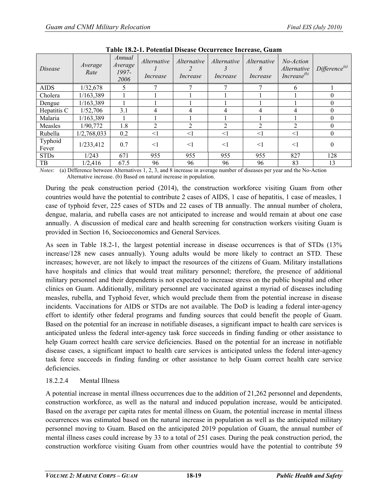<span id="page-18-0"></span>

| Disease          | Average<br>Rate | Annual<br>Average<br>1997-<br>2006 | <i>Alternative</i><br>Increase | Alternative<br>Increase | <i>Alternative</i><br>Increase | <i>Alternative</i><br>Increase | No-Action<br>Alternative<br>Increase $^{(b)}$ | Difference <sup>(a)</sup> |
|------------------|-----------------|------------------------------------|--------------------------------|-------------------------|--------------------------------|--------------------------------|-----------------------------------------------|---------------------------|
| <b>AIDS</b>      | 1/32,678        |                                    |                                | ⇁                       |                                |                                | 6                                             |                           |
| Cholera          | 1/163,389       |                                    |                                |                         |                                |                                |                                               | 0                         |
| Dengue           | 1/163,389       |                                    |                                |                         |                                |                                |                                               | $\theta$                  |
| Hepatitis C      | 1/52,706        | 3.1                                | 4                              | 4                       | 4                              |                                | 4                                             | $\Omega$                  |
| Malaria          | 1/163,389       |                                    |                                |                         |                                |                                |                                               | $\theta$                  |
| Measles          | 1/90,772        | 1.8                                | 2                              | $\overline{2}$          |                                | ↑                              | $\mathfrak{D}$                                | $\Omega$                  |
| Rubella          | 1/2,768,033     | 0.2                                | $\leq$ 1                       | <1                      | $\leq$ 1                       | $\leq$ 1                       | $\leq$ 1                                      | $\mathbf{0}$              |
| Typhoid<br>Fever | 1/233,412       | 0.7                                | $<$ 1                          | $<$ 1                   | $<$ 1                          | $<$ 1                          | <1                                            | $\theta$                  |
| <b>STDs</b>      | 1/243           | 671                                | 955                            | 955                     | 955                            | 955                            | 827                                           | 128                       |
| TB               | 1/2.416         | 67.5                               | 96                             | 96                      | 96                             | 96                             | 83                                            | 13                        |

**Table 18.2-1. Potential Disease Occurrence Increase, Guam**

*Notes*: (a) Difference between Alternatives 1, 2, 3, and 8 increase in average number of diseases per year and the No-Action Alternative increase. (b) Based on natural increase in population.

During the peak construction period (2014), the construction workforce visiting Guam from other countries would have the potential to contribute 2 cases of AIDS, 1 case of hepatitis, 1 case of measles, 1 case of typhoid fever, 225 cases of STDs and 22 cases of TB annually. The annual number of cholera, dengue, malaria, and rubella cases are not anticipated to increase and would remain at about one case annually. A discussion of medical care and health screening for construction workers visiting Guam is provided in Section 16, Socioeconomics and General Services.

As seen in Table 18.2-1, the largest potential increase in disease occurrences is that of STDs (13% increase/128 new cases annually). Young adults would be more likely to contract an STD. These increases; however, are not likely to impact the resources of the citizens of Guam. Military installations have hospitals and clinics that would treat military personnel; therefore, the presence of additional military personnel and their dependents is not expected to increase stress on the public hospital and other clinics on Guam. Additionally, military personnel are vaccinated against a myriad of diseases including measles, rubella, and Typhoid fever, which would preclude them from the potential increase in disease incidents. Vaccinations for AIDS or STDs are not available. The DoD is leading a federal inter-agency effort to identify other federal programs and funding sources that could benefit the people of Guam. Based on the potential for an increase in notifiable diseases, a significant impact to health care services is anticipated unless the federal inter-agency task force succeeds in finding funding or other assistance to help Guam correct health care service deficiencies. Based on the potential for an increase in notifiable disease cases, a significant impact to health care services is anticipated unless the federal inter-agency task force succeeds in finding funding or other assistance to help Guam correct health care service deficiencies.

# 18.2.2.4 Mental Illness

A potential increase in mental illness occurrences due to the addition of 21,262 personnel and dependents, construction workforce, as well as the natural and induced population increase, would be anticipated. Based on the average per capita rates for mental illness on Guam, the potential increase in mental illness occurrences was estimated based on the natural increase in population as well as the anticipated military personnel moving to Guam. Based on the anticipated 2019 population of Guam, the annual number of mental illness cases could increase by 33 to a total of 251 cases. During the peak construction period, the construction workforce visiting Guam from other countries would have the potential to contribute 59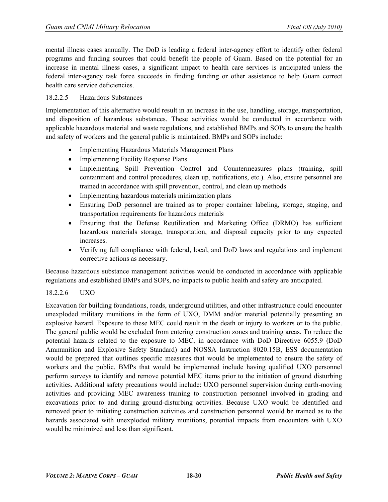mental illness cases annually. The DoD is leading a federal inter-agency effort to identify other federal programs and funding sources that could benefit the people of Guam. Based on the potential for an increase in mental illness cases, a significant impact to health care services is anticipated unless the federal inter-agency task force succeeds in finding funding or other assistance to help Guam correct health care service deficiencies.

### 18.2.2.5 Hazardous Substances

Implementation of this alternative would result in an increase in the use, handling, storage, transportation, and disposition of hazardous substances. These activities would be conducted in accordance with applicable hazardous material and waste regulations, and established BMPs and SOPs to ensure the health and safety of workers and the general public is maintained. BMPs and SOPs include:

- Implementing Hazardous Materials Management Plans
- Implementing Facility Response Plans
- Implementing Spill Prevention Control and Countermeasures plans (training, spill containment and control procedures, clean up, notifications, etc.). Also, ensure personnel are trained in accordance with spill prevention, control, and clean up methods
- Implementing hazardous materials minimization plans
- Ensuring DoD personnel are trained as to proper container labeling, storage, staging, and transportation requirements for hazardous materials
- Ensuring that the Defense Reutilization and Marketing Office (DRMO) has sufficient hazardous materials storage, transportation, and disposal capacity prior to any expected increases.
- Verifying full compliance with federal, local, and DoD laws and regulations and implement corrective actions as necessary.

Because hazardous substance management activities would be conducted in accordance with applicable regulations and established BMPs and SOPs, no impacts to public health and safety are anticipated.

# 18.2.2.6 UXO

Excavation for building foundations, roads, underground utilities, and other infrastructure could encounter unexploded military munitions in the form of UXO, DMM and/or material potentially presenting an explosive hazard. Exposure to these MEC could result in the death or injury to workers or to the public. The general public would be excluded from entering construction zones and training areas. To reduce the potential hazards related to the exposure to MEC, in accordance with DoD Directive 6055.9 (DoD Ammunition and Explosive Safety Standard) and NOSSA Instruction 8020.15B, ESS documentation would be prepared that outlines specific measures that would be implemented to ensure the safety of workers and the public. BMPs that would be implemented include having qualified UXO personnel perform surveys to identify and remove potential MEC items prior to the initiation of ground disturbing activities. Additional safety precautions would include: UXO personnel supervision during earth-moving activities and providing MEC awareness training to construction personnel involved in grading and excavations prior to and during ground-disturbing activities. Because UXO would be identified and removed prior to initiating construction activities and construction personnel would be trained as to the hazards associated with unexploded military munitions, potential impacts from encounters with UXO would be minimized and less than significant.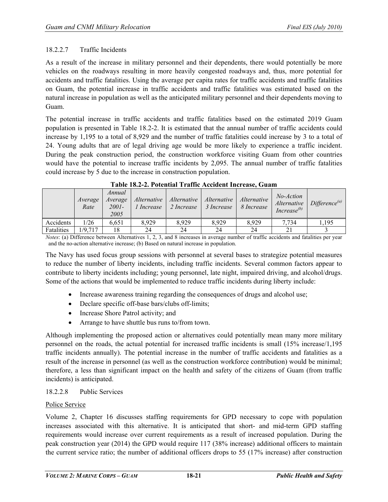# 18.2.2.7 Traffic Incidents

As a result of the increase in military personnel and their dependents, there would potentially be more vehicles on the roadways resulting in more heavily congested roadways and, thus, more potential for accidents and traffic fatalities. Using the average per capita rates for traffic accidents and traffic fatalities on Guam, the potential increase in traffic accidents and traffic fatalities was estimated based on the natural increase in population as well as the anticipated military personnel and their dependents moving to Guam.

The potential increase in traffic accidents and traffic fatalities based on the estimated 2019 Guam population is presented in Table 18.2-2. It is estimated that the annual number of traffic accidents could increase by 1,195 to a total of 8,929 and the number of traffic fatalities could increase by 3 to a total of 24. Young adults that are of legal driving age would be more likely to experience a traffic incident. During the peak construction period, the construction workforce visiting Guam from other countries would have the potential to increase traffic incidents by 2,095. The annual number of traffic fatalities could increase by 5 due to the increase in construction population.

|            | Average<br>Rate | Annual<br>Average<br>2001-<br>2005 | 1 Increase | Alternative   Alternative   Alternative   Alternative<br>$2$ Increase | 3 Increase | 8 Increase | No-Action<br>Increase $^{(b)}$ | Alternative Difference <sup>(a)</sup> |
|------------|-----------------|------------------------------------|------------|-----------------------------------------------------------------------|------------|------------|--------------------------------|---------------------------------------|
| Accidents  | 1/26            | 6.651                              | 8.929      | 8.929                                                                 | 8.929      | 8.929      | 7.734                          | 1.195                                 |
| Fatalities | 1/9,717         | 18                                 | 24         | 24                                                                    | 24         | 24         |                                |                                       |

**Table 18.2-2. Potential Traffic Accident Increase, Guam**

*Notes*: (a) Difference between Alternatives 1, 2, 3, and 8 increases in average number of traffic accidents and fatalities per year and the no-action alternative increase; (b) Based on natural increase in population.

The Navy has used focus group sessions with personnel at several bases to strategize potential measures to reduce the number of liberty incidents, including traffic incidents. Several common factors appear to contribute to liberty incidents including; young personnel, late night, impaired driving, and alcohol/drugs. Some of the actions that would be implemented to reduce traffic incidents during liberty include:

- Increase awareness training regarding the consequences of drugs and alcohol use;
- Declare specific off-base bars/clubs off-limits;
- Increase Shore Patrol activity; and
- Arrange to have shuttle bus runs to/from town.

Although implementing the proposed action or alternatives could potentially mean many more military personnel on the roads, the actual potential for increased traffic incidents is small (15% increase/1,195 traffic incidents annually). The potential increase in the number of traffic accidents and fatalities as a result of the increase in personnel (as well as the construction workforce contribution) would be minimal; therefore, a less than significant impact on the health and safety of the citizens of Guam (from traffic incidents) is anticipated.

# 18.2.2.8 Public Services

#### Police Service

Volume 2, Chapter 16 discusses staffing requirements for GPD necessary to cope with population increases associated with this alternative. It is anticipated that short- and mid-term GPD staffing requirements would increase over current requirements as a result of increased population. During the peak construction year (2014) the GPD would require 117 (38% increase) additional officers to maintain the current service ratio; the number of additional officers drops to 55 (17% increase) after construction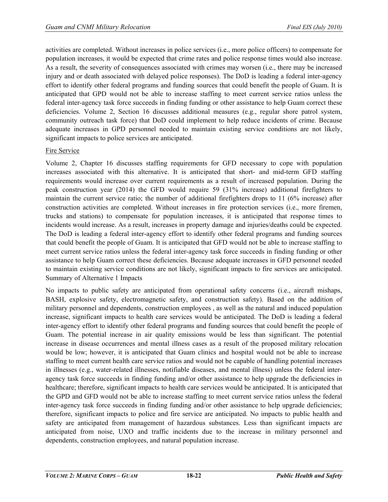activities are completed. Without increases in police services (i.e., more police officers) to compensate for population increases, it would be expected that crime rates and police response times would also increase. As a result, the severity of consequences associated with crimes may worsen (i.e., there may be increased injury and or death associated with delayed police responses). The DoD is leading a federal inter-agency effort to identify other federal programs and funding sources that could benefit the people of Guam. It is anticipated that GPD would not be able to increase staffing to meet current service ratios unless the federal inter-agency task force succeeds in finding funding or other assistance to help Guam correct these deficiencies. Volume 2, Section 16 discusses additional measures (e.g., regular shore patrol system, community outreach task force) that DoD could implement to help reduce incidents of crime. Because adequate increases in GPD personnel needed to maintain existing service conditions are not likely, significant impacts to police services are anticipated.

# Fire Service

Volume 2, Chapter 16 discusses staffing requirements for GFD necessary to cope with population increases associated with this alternative. It is anticipated that short- and mid-term GFD staffing requirements would increase over current requirements as a result of increased population. During the peak construction year (2014) the GFD would require 59 (31% increase) additional firefighters to maintain the current service ratio; the number of additional firefighters drops to 11 (6% increase) after construction activities are completed. Without increases in fire protection services (i.e., more firemen, trucks and stations) to compensate for population increases, it is anticipated that response times to incidents would increase. As a result, increases in property damage and injuries/deaths could be expected. The DoD is leading a federal inter-agency effort to identify other federal programs and funding sources that could benefit the people of Guam. It is anticipated that GFD would not be able to increase staffing to meet current service ratios unless the federal inter-agency task force succeeds in finding funding or other assistance to help Guam correct these deficiencies. Because adequate increases in GFD personnel needed to maintain existing service conditions are not likely, significant impacts to fire services are anticipated. Summary of Alternative 1 Impacts

No impacts to public safety are anticipated from operational safety concerns (i.e., aircraft mishaps, BASH, explosive safety, electromagnetic safety, and construction safety). Based on the addition of military personnel and dependents, construction employees , as well as the natural and induced population increase, significant impacts to health care services would be anticipated. The DoD is leading a federal inter-agency effort to identify other federal programs and funding sources that could benefit the people of Guam. The potential increase in air quality emissions would be less than significant. The potential increase in disease occurrences and mental illness cases as a result of the proposed military relocation would be low; however, it is anticipated that Guam clinics and hospital would not be able to increase staffing to meet current health care service ratios and would not be capable of handling potential increases in illnesses (e.g., water-related illnesses, notifiable diseases, and mental illness) unless the federal interagency task force succeeds in finding funding and/or other assistance to help upgrade the deficiencies in healthcare; therefore, significant impacts to health care services would be anticipated. It is anticipated that the GPD and GFD would not be able to increase staffing to meet current service ratios unless the federal inter-agency task force succeeds in finding funding and/or other assistance to help upgrade deficiencies; therefore, significant impacts to police and fire service are anticipated. No impacts to public health and safety are anticipated from management of hazardous substances. Less than significant impacts are anticipated from noise, UXO and traffic incidents due to the increase in military personnel and dependents, construction employees, and natural population increase.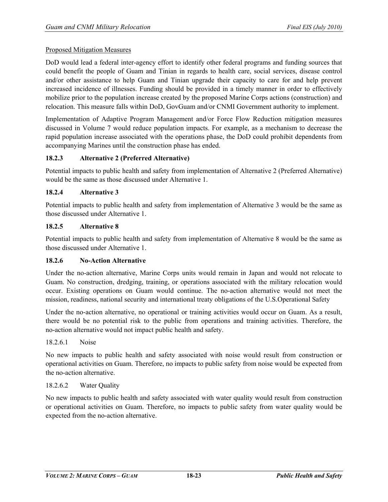### Proposed Mitigation Measures

DoD would lead a federal inter-agency effort to identify other federal programs and funding sources that could benefit the people of Guam and Tinian in regards to health care, social services, disease control and/or other assistance to help Guam and Tinian upgrade their capacity to care for and help prevent increased incidence of illnesses. Funding should be provided in a timely manner in order to effectively mobilize prior to the population increase created by the proposed Marine Corps actions (construction) and relocation. This measure falls within DoD, GovGuam and/or CNMI Government authority to implement.

Implementation of Adaptive Program Management and/or Force Flow Reduction mitigation measures discussed in Volume 7 would reduce population impacts. For example, as a mechanism to decrease the rapid population increase associated with the operations phase, the DoD could prohibit dependents from accompanying Marines until the construction phase has ended.

### **18.2.3 Alternative 2 (Preferred Alternative)**

Potential impacts to public health and safety from implementation of Alternative 2 (Preferred Alternative) would be the same as those discussed under Alternative 1.

### **18.2.4 Alternative 3**

Potential impacts to public health and safety from implementation of Alternative 3 would be the same as those discussed under Alternative 1.

### **18.2.5 Alternative 8**

Potential impacts to public health and safety from implementation of Alternative 8 would be the same as those discussed under Alternative 1.

#### **18.2.6 No-Action Alternative**

Under the no-action alternative, Marine Corps units would remain in Japan and would not relocate to Guam. No construction, dredging, training, or operations associated with the military relocation would occur. Existing operations on Guam would continue. The no-action alternative would not meet the mission, readiness, national security and international treaty obligations of the U.S.Operational Safety

Under the no-action alternative, no operational or training activities would occur on Guam. As a result, there would be no potential risk to the public from operations and training activities. Therefore, the no-action alternative would not impact public health and safety.

### 18.2.6.1 Noise

No new impacts to public health and safety associated with noise would result from construction or operational activities on Guam. Therefore, no impacts to public safety from noise would be expected from the no-action alternative.

# 18.2.6.2 Water Quality

No new impacts to public health and safety associated with water quality would result from construction or operational activities on Guam. Therefore, no impacts to public safety from water quality would be expected from the no-action alternative.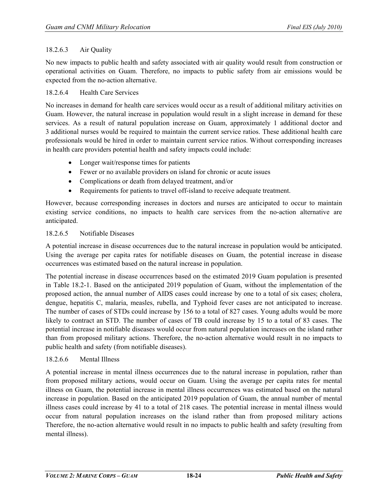# 18.2.6.3 Air Quality

No new impacts to public health and safety associated with air quality would result from construction or operational activities on Guam. Therefore, no impacts to public safety from air emissions would be expected from the no-action alternative.

### 18.2.6.4 Health Care Services

No increases in demand for health care services would occur as a result of additional military activities on Guam. However, the natural increase in population would result in a slight increase in demand for these services. As a result of natural population increase on Guam, approximately 1 additional doctor and 3 additional nurses would be required to maintain the current service ratios. These additional health care professionals would be hired in order to maintain current service ratios. Without corresponding increases in health care providers potential health and safety impacts could include:

- Longer wait/response times for patients
- Fewer or no available providers on island for chronic or acute issues
- Complications or death from delayed treatment, and/or
- Requirements for patients to travel off-island to receive adequate treatment.

However, because corresponding increases in doctors and nurses are anticipated to occur to maintain existing service conditions, no impacts to health care services from the no-action alternative are anticipated.

### 18.2.6.5 Notifiable Diseases

A potential increase in disease occurrences due to the natural increase in population would be anticipated. Using the average per capita rates for notifiable diseases on Guam, the potential increase in disease occurrences was estimated based on the natural increase in population.

The potential increase in disease occurrences based on the estimated 2019 Guam population is presented in [Table 18.2-1.](#page-18-0) Based on the anticipated 2019 population of Guam, without the implementation of the proposed action, the annual number of AIDS cases could increase by one to a total of six cases; cholera, dengue, hepatitis C, malaria, measles, rubella, and Typhoid fever cases are not anticipated to increase. The number of cases of STDs could increase by 156 to a total of 827 cases. Young adults would be more likely to contract an STD. The number of cases of TB could increase by 15 to a total of 83 cases. The potential increase in notifiable diseases would occur from natural population increases on the island rather than from proposed military actions. Therefore, the no-action alternative would result in no impacts to public health and safety (from notifiable diseases).

### 18.2.6.6 Mental Illness

A potential increase in mental illness occurrences due to the natural increase in population, rather than from proposed military actions, would occur on Guam. Using the average per capita rates for mental illness on Guam, the potential increase in mental illness occurrences was estimated based on the natural increase in population. Based on the anticipated 2019 population of Guam, the annual number of mental illness cases could increase by 41 to a total of 218 cases. The potential increase in mental illness would occur from natural population increases on the island rather than from proposed military actions Therefore, the no-action alternative would result in no impacts to public health and safety (resulting from mental illness).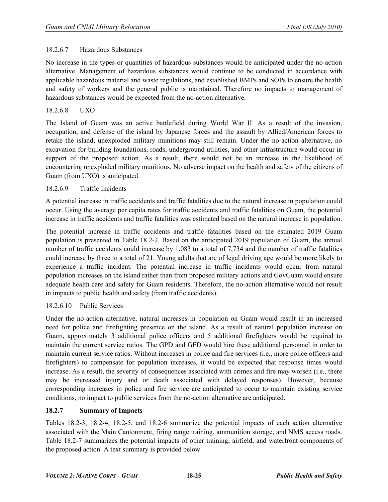# 18.2.6.7 Hazardous Substances

No increase in the types or quantities of hazardous substances would be anticipated under the no-action alternative. Management of hazardous substances would continue to be conducted in accordance with applicable hazardous material and waste regulations, and established BMPs and SOPs to ensure the health and safety of workers and the general public is maintained. Therefore no impacts to management of hazardous substances would be expected from the no-action alternative.

# 18.2.6.8 UXO

The Island of Guam was an active battlefield during World War II. As a result of the invasion, occupation, and defense of the island by Japanese forces and the assault by Allied/American forces to retake the island, unexploded military munitions may still remain. Under the no-action alternative, no excavation for building foundations, roads, underground utilities, and other infrastructure would occur in support of the proposed action. As a result, there would not be an increase in the likelihood of encountering unexploded military munitions. No adverse impact on the health and safety of the citizens of Guam (from UXO) is anticipated.

# 18.2.6.9 Traffic Incidents

A potential increase in traffic accidents and traffic fatalities due to the natural increase in population could occur. Using the average per capita rates for traffic accidents and traffic fatalities on Guam, the potential increase in traffic accidents and traffic fatalities was estimated based on the natural increase in population.

The potential increase in traffic accidents and traffic fatalities based on the estimated 2019 Guam population is presented in Table 18.2-2. Based on the anticipated 2019 population of Guam, the annual number of traffic accidents could increase by 1,083 to a total of 7,734 and the number of traffic fatalities could increase by three to a total of 21. Young adults that are of legal driving age would be more likely to experience a traffic incident. The potential increase in traffic incidents would occur from natural population increases on the island rather than from proposed military actions and GovGuam would ensure adequate health care and safety for Guam residents. Therefore, the no-action alternative would not result in impacts to public health and safety (from traffic accidents).

# 18.2.6.10 Public Services

Under the no-action alternative, natural increases in population on Guam would result in an increased need for police and firefighting presence on the island. As a result of natural population increase on Guam, approximately 3 additional police officers and 5 additional firefighters would be required to maintain the current service ratios. The GPD and GFD would hire these additional personnel in order to maintain current service ratios. Without increases in police and fire services (i.e., more police officers and firefighters) to compensate for population increases, it would be expected that response times would increase. As a result, the severity of consequences associated with crimes and fire may worsen (i.e., there may be increased injury and or death associated with delayed responses). However, because corresponding increases in police and fire service are anticipated to occur to maintain existing service conditions, no impact to public services from the no-action alternative are anticipated.

# **18.2.7 Summary of Impacts**

Tables 18.2-3, 18.2-4, 18.2-5, and 18.2-6 summarize the potential impacts of each action alternative associated with the Main Cantonment, firing range training, ammunition storage, and NMS access roads. Table 18.2-7 summarizes the potential impacts of other training, airfield, and waterfront components of the proposed action. A text summary is provided below.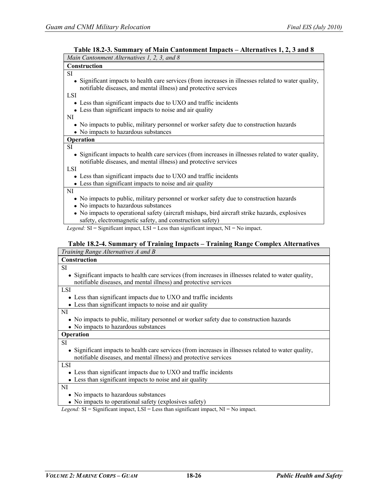| таріс то,2-э. бинніцт у от імані Санцянісці тінрасіз — Анстнанусу т, 2, э ани б<br>Main Cantonment Alternatives 1, 2, 3, and 8                                           |
|--------------------------------------------------------------------------------------------------------------------------------------------------------------------------|
| <b>Construction</b>                                                                                                                                                      |
| SI                                                                                                                                                                       |
| • Significant impacts to health care services (from increases in illnesses related to water quality,<br>notifiable diseases, and mental illness) and protective services |
| <b>LSI</b>                                                                                                                                                               |
| • Less than significant impacts due to UXO and traffic incidents                                                                                                         |
| • Less than significant impacts to noise and air quality                                                                                                                 |
| NI                                                                                                                                                                       |
| • No impacts to public, military personnel or worker safety due to construction hazards                                                                                  |
| • No impacts to hazardous substances                                                                                                                                     |
| Operation                                                                                                                                                                |
| <b>SI</b>                                                                                                                                                                |
| • Significant impacts to health care services (from increases in illnesses related to water quality,                                                                     |
| notifiable diseases, and mental illness) and protective services                                                                                                         |
| <b>LSI</b>                                                                                                                                                               |
| Less than significant impacts due to UXO and traffic incidents                                                                                                           |
| • Less than significant impacts to noise and air quality                                                                                                                 |
| NI                                                                                                                                                                       |
| • No impacts to public, military personnel or worker safety due to construction hazards                                                                                  |
| • No impacts to hazardous substances                                                                                                                                     |
| No impacts to operational safety (aircraft mishaps, bird aircraft strike hazards, explosives<br>safety, electromagnetic safety, and construction safety)                 |

**Table 18.2-3. Summary of Main Cantonment Impacts – Alternatives 1, 2, 3 and 8**

*Legend:* SI = Significant impact, LSI = Less than significant impact, NI = No impact.

### **Table 18.2-4. Summary of Training Impacts – Training Range Complex Alternatives**

| Training Range Alternatives A and B                                                                  |
|------------------------------------------------------------------------------------------------------|
| Construction                                                                                         |
| SI                                                                                                   |
| • Significant impacts to health care services (from increases in illnesses related to water quality, |
| notifiable diseases, and mental illness) and protective services                                     |
| <b>LSI</b>                                                                                           |
| • Less than significant impacts due to UXO and traffic incidents                                     |
| • Less than significant impacts to noise and air quality                                             |
| NI                                                                                                   |
| • No impacts to public, military personnel or worker safety due to construction hazards              |
| • No impacts to hazardous substances                                                                 |
| Operation                                                                                            |
| <b>SI</b>                                                                                            |
| • Significant impacts to health care services (from increases in illnesses related to water quality, |
| notifiable diseases, and mental illness) and protective services                                     |
| <b>LSI</b>                                                                                           |
| • Less than significant impacts due to UXO and traffic incidents                                     |
| • Less than significant impacts to noise and air quality                                             |
| NI                                                                                                   |
| • No impacts to hazardous substances                                                                 |
| • No impacts to operational safety (explosives safety)                                               |
| <i>Legend</i> : $SI =$ Significant impact, $LSI =$ Less than significant impact, $NI = No$ impact.   |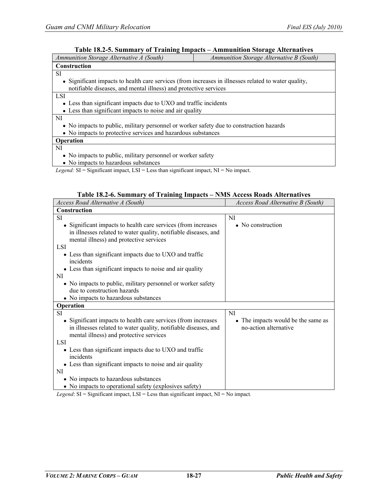# **Table 18.2-5. Summary of Training Impacts – Ammunition Storage Alternatives**

| Ammunition Storage Alternative A (South)                                                             | Ammunition Storage Alternative B (South) |  |  |  |  |
|------------------------------------------------------------------------------------------------------|------------------------------------------|--|--|--|--|
| <b>Construction</b>                                                                                  |                                          |  |  |  |  |
| <b>SI</b>                                                                                            |                                          |  |  |  |  |
| • Significant impacts to health care services (from increases in illnesses related to water quality, |                                          |  |  |  |  |
| notifiable diseases, and mental illness) and protective services                                     |                                          |  |  |  |  |
| <b>LSI</b>                                                                                           |                                          |  |  |  |  |
| • Less than significant impacts due to UXO and traffic incidents                                     |                                          |  |  |  |  |
| • Less than significant impacts to noise and air quality                                             |                                          |  |  |  |  |
| NI                                                                                                   |                                          |  |  |  |  |
| • No impacts to public, military personnel or worker safety due to construction hazards              |                                          |  |  |  |  |
| • No impacts to protective services and hazardous substances                                         |                                          |  |  |  |  |
| <b>Operation</b>                                                                                     |                                          |  |  |  |  |
| NI                                                                                                   |                                          |  |  |  |  |
| • No impacts to public, military personnel or worker safety                                          |                                          |  |  |  |  |
| • No impacts to hazardous substances                                                                 |                                          |  |  |  |  |

*Legend:* SI = Significant impact, LSI = Less than significant impact, NI = No impact.

|  | Table 18.2-6. Summary of Training Impacts - NMS Access Roads Alternatives |
|--|---------------------------------------------------------------------------|
|  |                                                                           |

| Access Road Alternative A (South)                                                                          | Access Road Alternative B (South)  |
|------------------------------------------------------------------------------------------------------------|------------------------------------|
| <b>Construction</b>                                                                                        |                                    |
| <b>SI</b>                                                                                                  | NI                                 |
| • Significant impacts to health care services (from increases                                              | $\bullet$ No construction          |
| in illnesses related to water quality, notifiable diseases, and<br>mental illness) and protective services |                                    |
| <b>LSI</b>                                                                                                 |                                    |
| • Less than significant impacts due to UXO and traffic<br>incidents                                        |                                    |
| • Less than significant impacts to noise and air quality                                                   |                                    |
| NI                                                                                                         |                                    |
| • No impacts to public, military personnel or worker safety                                                |                                    |
| due to construction hazards                                                                                |                                    |
| • No impacts to hazardous substances                                                                       |                                    |
| Operation                                                                                                  |                                    |
| <b>SI</b>                                                                                                  | <b>NI</b>                          |
| • Significant impacts to health care services (from increases)                                             | • The impacts would be the same as |
| in illnesses related to water quality, notifiable diseases, and                                            | no-action alternative              |
| mental illness) and protective services                                                                    |                                    |
| <b>LSI</b>                                                                                                 |                                    |
| • Less than significant impacts due to UXO and traffic<br>incidents                                        |                                    |
| • Less than significant impacts to noise and air quality                                                   |                                    |
| NI                                                                                                         |                                    |
| • No impacts to hazardous substances                                                                       |                                    |
| • No impacts to operational safety (explosives safety)                                                     |                                    |

*Legend*: SI = Significant impact, LSI = Less than significant impact, NI = No impact*.*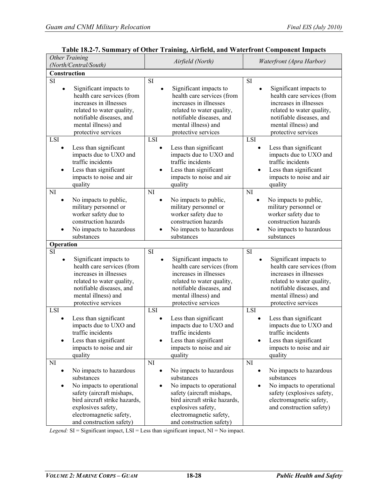| $1400 \times 10.27$ . Dummary<br><b>Other Training</b><br>(North/Central/South)                                                                                                                                    | of other Training, All hera, and Water Holt Component Impacts<br>Airfield (North)                                                                                                                                          | Waterfront (Apra Harbor)                                                                                                                                                                           |  |  |
|--------------------------------------------------------------------------------------------------------------------------------------------------------------------------------------------------------------------|----------------------------------------------------------------------------------------------------------------------------------------------------------------------------------------------------------------------------|----------------------------------------------------------------------------------------------------------------------------------------------------------------------------------------------------|--|--|
| Construction                                                                                                                                                                                                       |                                                                                                                                                                                                                            |                                                                                                                                                                                                    |  |  |
| $\overline{\mathrm{SI}}$                                                                                                                                                                                           | SI                                                                                                                                                                                                                         | SI                                                                                                                                                                                                 |  |  |
| Significant impacts to<br>٠<br>health care services (from<br>increases in illnesses<br>related to water quality,<br>notifiable diseases, and<br>mental illness) and<br>protective services                         | Significant impacts to<br>health care services (from<br>increases in illnesses<br>related to water quality,<br>notifiable diseases, and<br>mental illness) and<br>protective services                                      | Significant impacts to<br>health care services (from<br>increases in illnesses<br>related to water quality,<br>notifiable diseases, and<br>mental illness) and<br>protective services              |  |  |
| LSI                                                                                                                                                                                                                | <b>LSI</b>                                                                                                                                                                                                                 | LSI                                                                                                                                                                                                |  |  |
| Less than significant<br>impacts due to UXO and<br>traffic incidents<br>Less than significant<br>$\bullet$<br>impacts to noise and air<br>quality                                                                  | Less than significant<br>impacts due to UXO and<br>traffic incidents<br>Less than significant<br>impacts to noise and air<br>quality                                                                                       | Less than significant<br>impacts due to UXO and<br>traffic incidents<br>Less than significant<br>impacts to noise and air<br>quality                                                               |  |  |
| NI                                                                                                                                                                                                                 | N <sub>I</sub>                                                                                                                                                                                                             | NI                                                                                                                                                                                                 |  |  |
| No impacts to public,<br>military personnel or<br>worker safety due to<br>construction hazards<br>No impacts to hazardous<br>substances                                                                            | No impacts to public,<br>military personnel or<br>worker safety due to<br>construction hazards<br>No impacts to hazardous<br>substances                                                                                    | No impacts to public,<br>military personnel or<br>worker safety due to<br>construction hazards<br>No impacts to hazardous<br>substances                                                            |  |  |
| Operation                                                                                                                                                                                                          |                                                                                                                                                                                                                            |                                                                                                                                                                                                    |  |  |
| SI<br>Significant impacts to<br>$\bullet$<br>health care services (from<br>increases in illnesses<br>related to water quality,<br>notifiable diseases, and<br>mental illness) and<br>protective services           | SI<br>Significant impacts to<br>health care services (from<br>increases in illnesses<br>related to water quality,<br>notifiable diseases, and<br>mental illness) and<br>protective services                                | <b>SI</b><br>Significant impacts to<br>health care services (from<br>increases in illnesses<br>related to water quality,<br>notifiable diseases, and<br>mental illness) and<br>protective services |  |  |
| LSI                                                                                                                                                                                                                | LSI                                                                                                                                                                                                                        | LSI                                                                                                                                                                                                |  |  |
| Less than significant<br>impacts due to UXO and<br>traffic incidents<br>Less than significant<br>impacts to noise and air<br>quality                                                                               | Less than significant<br>impacts due to UXO and<br>traffic incidents<br>Less than significant<br>impacts to noise and air<br>quality                                                                                       | Less than significant<br>impacts due to UXO and<br>traffic incidents<br>Less than significant<br>impacts to noise and air<br>quality                                                               |  |  |
| NI                                                                                                                                                                                                                 | NI                                                                                                                                                                                                                         | NI                                                                                                                                                                                                 |  |  |
| No impacts to hazardous<br>substances<br>No impacts to operational<br>٠<br>safety (aircraft mishaps,<br>bird aircraft strike hazards,<br>explosives safety,<br>electromagnetic safety,<br>and construction safety) | No impacts to hazardous<br>substances<br>No impacts to operational<br>$\bullet$<br>safety (aircraft mishaps,<br>bird aircraft strike hazards,<br>explosives safety,<br>electromagnetic safety,<br>and construction safety) | No impacts to hazardous<br>substances<br>No impacts to operational<br>safety (explosives safety,<br>electromagnetic safety,<br>and construction safety)                                            |  |  |

|  |  | Table 18.2-7. Summary of Other Training, Airfield, and Waterfront Component Impacts |  |
|--|--|-------------------------------------------------------------------------------------|--|
|--|--|-------------------------------------------------------------------------------------|--|

*Legend:* SI = Significant impact, LSI = Less than significant impact, NI = No impact.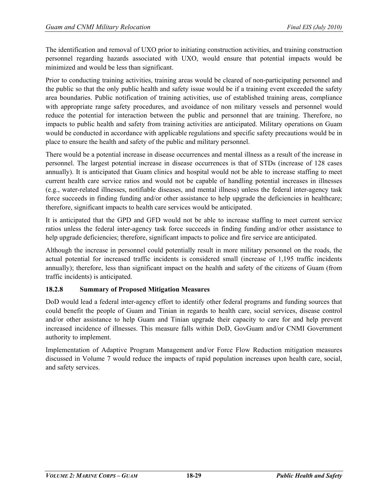The identification and removal of UXO prior to initiating construction activities, and training construction personnel regarding hazards associated with UXO, would ensure that potential impacts would be minimized and would be less than significant.

Prior to conducting training activities, training areas would be cleared of non-participating personnel and the public so that the only public health and safety issue would be if a training event exceeded the safety area boundaries. Public notification of training activities, use of established training areas, compliance with appropriate range safety procedures, and avoidance of non military vessels and personnel would reduce the potential for interaction between the public and personnel that are training. Therefore, no impacts to public health and safety from training activities are anticipated. Military operations on Guam would be conducted in accordance with applicable regulations and specific safety precautions would be in place to ensure the health and safety of the public and military personnel.

There would be a potential increase in disease occurrences and mental illness as a result of the increase in personnel. The largest potential increase in disease occurrences is that of STDs (increase of 128 cases annually). It is anticipated that Guam clinics and hospital would not be able to increase staffing to meet current health care service ratios and would not be capable of handling potential increases in illnesses (e.g., water-related illnesses, notifiable diseases, and mental illness) unless the federal inter-agency task force succeeds in finding funding and/or other assistance to help upgrade the deficiencies in healthcare; therefore, significant impacts to health care services would be anticipated.

It is anticipated that the GPD and GFD would not be able to increase staffing to meet current service ratios unless the federal inter-agency task force succeeds in finding funding and/or other assistance to help upgrade deficiencies; therefore, significant impacts to police and fire service are anticipated.

Although the increase in personnel could potentially result in more military personnel on the roads, the actual potential for increased traffic incidents is considered small (increase of 1,195 traffic incidents annually); therefore, less than significant impact on the health and safety of the citizens of Guam (from traffic incidents) is anticipated.

# **18.2.8 Summary of Proposed Mitigation Measures**

DoD would lead a federal inter-agency effort to identify other federal programs and funding sources that could benefit the people of Guam and Tinian in regards to health care, social services, disease control and/or other assistance to help Guam and Tinian upgrade their capacity to care for and help prevent increased incidence of illnesses. This measure falls within DoD, GovGuam and/or CNMI Government authority to implement.

Implementation of Adaptive Program Management and/or Force Flow Reduction mitigation measures discussed in Volume 7 would reduce the impacts of rapid population increases upon health care, social, and safety services.